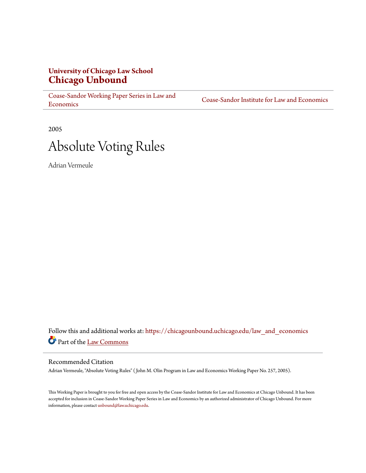# **University of Chicago Law School [Chicago Unbound](https://chicagounbound.uchicago.edu?utm_source=chicagounbound.uchicago.edu%2Flaw_and_economics%2F25&utm_medium=PDF&utm_campaign=PDFCoverPages)**

[Coase-Sandor Working Paper Series in Law and](https://chicagounbound.uchicago.edu/law_and_economics?utm_source=chicagounbound.uchicago.edu%2Flaw_and_economics%2F25&utm_medium=PDF&utm_campaign=PDFCoverPages) [Economics](https://chicagounbound.uchicago.edu/law_and_economics?utm_source=chicagounbound.uchicago.edu%2Flaw_and_economics%2F25&utm_medium=PDF&utm_campaign=PDFCoverPages)

[Coase-Sandor Institute for Law and Economics](https://chicagounbound.uchicago.edu/coase_sandor_institute?utm_source=chicagounbound.uchicago.edu%2Flaw_and_economics%2F25&utm_medium=PDF&utm_campaign=PDFCoverPages)

2005

# Absolute Voting Rules

Adrian Vermeule

Follow this and additional works at: [https://chicagounbound.uchicago.edu/law\\_and\\_economics](https://chicagounbound.uchicago.edu/law_and_economics?utm_source=chicagounbound.uchicago.edu%2Flaw_and_economics%2F25&utm_medium=PDF&utm_campaign=PDFCoverPages) Part of the [Law Commons](http://network.bepress.com/hgg/discipline/578?utm_source=chicagounbound.uchicago.edu%2Flaw_and_economics%2F25&utm_medium=PDF&utm_campaign=PDFCoverPages)

#### Recommended Citation

Adrian Vermeule, "Absolute Voting Rules" ( John M. Olin Program in Law and Economics Working Paper No. 257, 2005).

This Working Paper is brought to you for free and open access by the Coase-Sandor Institute for Law and Economics at Chicago Unbound. It has been accepted for inclusion in Coase-Sandor Working Paper Series in Law and Economics by an authorized administrator of Chicago Unbound. For more information, please contact [unbound@law.uchicago.edu.](mailto:unbound@law.uchicago.edu)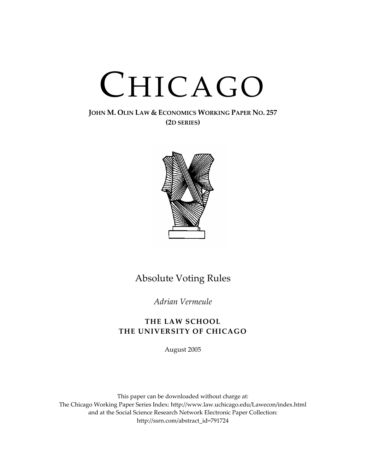# CHICAGO

### **JOHN M. OLIN LAW & ECONOMICS WORKING PAPER NO. 257 (2D SERIES)**



# Absolute Voting Rules

*Adrian Vermeule*

# **THE LAW SCHOOL THE UNIVERSITY OF CHICAGO**

August 2005

This paper can be downloaded without charge at: The Chicago Working Paper Series Index: http://www.law.uchicago.edu/Lawecon/index.html and at the Social Science Research Network Electronic Paper Collection: http://ssrn.com/abstract\_id=791724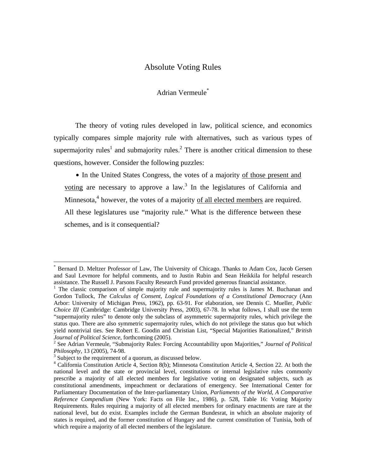#### Adrian Vermeule\*

 The theory of voting rules developed in law, political science, and economics typically compares simple majority rule with alternatives, such as various types of supermajority rules<sup>1</sup> and submajority rules.<sup>2</sup> There is another critical dimension to these questions, however. Consider the following puzzles:

• In the United States Congress, the votes of a majority of those present and voting are necessary to approve a law.<sup>3</sup> In the legislatures of California and Minnesota, $4$  however, the votes of a majority of all elected members are required. All these legislatures use "majority rule." What is the difference between these schemes, and is it consequential?

1

<sup>\*</sup> Bernard D. Meltzer Professor of Law, The University of Chicago. Thanks to Adam Cox, Jacob Gersen and Saul Levmore for helpful comments, and to Justin Rubin and Sean Heikkila for helpful research assistance. The Russell J. Parsons Faculty Research Fund provided generous financial assistance.

<sup>&</sup>lt;sup>1</sup> The classic comparison of simple majority rule and supermajority rules is James M. Buchanan and Gordon Tullock, *The Calculus of Consent, Logical Foundations of a Constitutional Democracy* (Ann Arbor: University of Michigan Press, 1962), pp. 63-91. For elaboration, see Dennis C. Mueller, *Public Choice III* (Cambridge: Cambridge University Press, 2003), 67-78. In what follows, I shall use the term "supermajority rules" to denote only the subclass of asymmetric supermajority rules, which privilege the status quo. There are also symmetric supermajority rules, which do not privilege the status quo but which yield nontrivial ties. See Robert E. Goodin and Christian List, "Special Majorities Rationalized," *British Journal of Political Science*, forthcoming (2005). 2 See Adrian Vermeule, "Submajority Rules: Forcing Accountability upon Majorities," *Journal of Political* 

*Philosophy*, 13 (2005), 74-98. 3

 $3$  Subject to the requirement of a quorum, as discussed below.

California Constitution Article 4, Section 8(b); Minnesota Constitution Article 4, Section 22. At both the national level and the state or provincial level, constitutions or internal legislative rules commonly prescribe a majority of all elected members for legislative voting on designated subjects, such as constitutional amendments, impeachment or declarations of emergency. See International Center for Parliamentary Documentation of the Inter-parliamentary Union, *Parliaments of the World, A Comparative Reference Compendium* (New York: Facts on File Inc., 1986), p. 528, Table 16: Voting Majority Requirements. Rules requiring a majority of all elected members for ordinary enactments are rare at the national level, but do exist. Examples include the German Bundesrat, in which an absolute majority of states is required, and the former constitution of Hungary and the current constitution of Tunisia, both of which require a majority of all elected members of the legislature.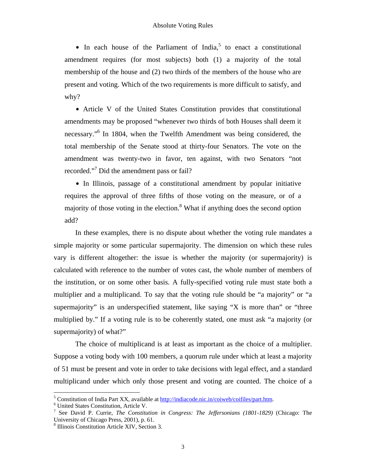$\bullet$  In each house of the Parliament of India,<sup>5</sup> to enact a constitutional amendment requires (for most subjects) both (1) a majority of the total membership of the house and (2) two thirds of the members of the house who are present and voting. Which of the two requirements is more difficult to satisfy, and why?

• Article V of the United States Constitution provides that constitutional amendments may be proposed "whenever two thirds of both Houses shall deem it necessary."6 In 1804, when the Twelfth Amendment was being considered, the total membership of the Senate stood at thirty-four Senators. The vote on the amendment was twenty-two in favor, ten against, with two Senators "not recorded."<sup>7</sup> Did the amendment pass or fail?

• In Illinois, passage of a constitutional amendment by popular initiative requires the approval of three fifths of those voting on the measure, or of a majority of those voting in the election.<sup>8</sup> What if anything does the second option add?

 In these examples, there is no dispute about whether the voting rule mandates a simple majority or some particular supermajority. The dimension on which these rules vary is different altogether: the issue is whether the majority (or supermajority) is calculated with reference to the number of votes cast, the whole number of members of the institution, or on some other basis. A fully-specified voting rule must state both a multiplier and a multiplicand. To say that the voting rule should be "a majority" or "a supermajority" is an underspecified statement, like saying "X is more than" or "three multiplied by." If a voting rule is to be coherently stated, one must ask "a majority (or supermajority) of what?"

 The choice of multiplicand is at least as important as the choice of a multiplier. Suppose a voting body with 100 members, a quorum rule under which at least a majority of 51 must be present and vote in order to take decisions with legal effect, and a standard multiplicand under which only those present and voting are counted. The choice of a

<sup>&</sup>lt;sup>5</sup> Constitution of India Part XX, available at  $\frac{http://indiacode.nic.in/coiweb/coifiles/part.htm.}{6$  United States Constitution, Article V.

United States Constitution, Article V.

<sup>7</sup> See David P. Currie, *The Constitution in Congress: The Jeffersonians (1801-1829)* (Chicago: The University of Chicago Press, 2001), p. 61.

<sup>8</sup> Illinois Constitution Article XIV, Section 3.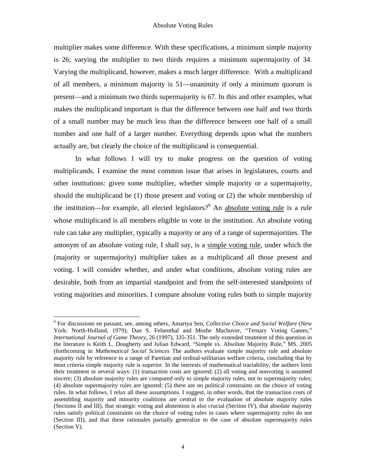multiplier makes some difference. With these specifications, a minimum simple majority is 26; varying the multiplier to two thirds requires a minimum supermajority of 34. Varying the multiplicand, however, makes a much larger difference. With a multiplicand of all members, a minimum majority is 51—unanimity if only a minimum quorum is present—and a minimum two thirds supermajority is 67. In this and other examples, what makes the multiplicand important is that the difference between one half and two thirds of a small number may be much less than the difference between one half of a small number and one half of a larger number. Everything depends upon what the numbers actually are, but clearly the choice of the multiplicand is consequential.

 In what follows I will try to make progress on the question of voting multiplicands. I examine the most common issue that arises in legislatures, courts and other institutions: given some multiplier, whether simple majority or a supermajority, should the multiplicand be (1) those present and voting or (2) the whole membership of the institution—for example, all elected legislators?<sup>9</sup> An absolute voting rule is a rule whose multiplicand is all members eligible to vote in the institution. An absolute voting rule can take any multiplier, typically a majority or any of a range of supermajorities. The antonym of an absolute voting rule, I shall say, is a simple voting rule, under which the (majority or supermajority) multiplier takes as a multiplicand all those present and voting. I will consider whether, and under what conditions, absolute voting rules are desirable, both from an impartial standpoint and from the self-interested standpoints of voting majorities and minorities. I compare absolute voting rules both to simple majority

<sup>9</sup> For discussions en passant, see, among others, Amartya Sen, *Collective Choice and Social Welfare* (New York: North-Holland, 1979); Dan S. Felsenthal and Moshe Machover, "Ternary Voting Games," *International Journal of Game Theory*, 26 (1997), 335-351. The only extended treatment of this question in the literature is Keith L. Dougherty and Julian Edward, "Simple vs. Absolute Majority Rule," MS. 2005 (forthcoming in *Mathematical Social Sciences* The authors evaluate simple majority rule and absolute majority rule by reference to a range of Paretian and ordinal-utilitarian welfare criteria, concluding that by most criteria simple majority rule is superior. In the interests of mathematical tractability, the authors limit their treatment in several ways: (1) transaction costs are ignored; (2) all voting and nonvoting is assumed sincere; (3) absolute majority rules are compared only to simple majority rules, not to supermajority rules; (4) absolute supermajority rules are ignored; (5) there are no political constraints on the choice of voting rules. In what follows, I relax all these assumptions. I suggest, in other words, that the transaction costs of assembling majority and minority coalitions are central to the evaluation of absolute majority rules (Sections II and III), that strategic voting and abstention is also crucial (Section IV), that absolute majority rules satisfy political constraints on the choice of voting rules in cases where supermajority rules do not (Section III), and that these rationales partially generalize to the case of absolute supermajority rules (Section V).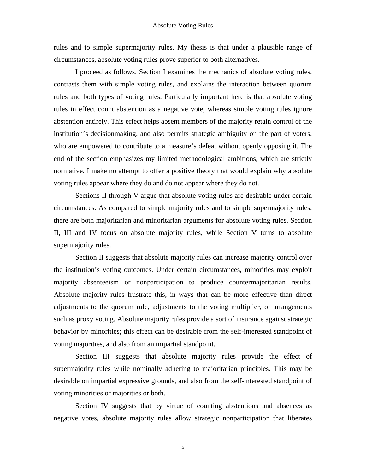rules and to simple supermajority rules. My thesis is that under a plausible range of circumstances, absolute voting rules prove superior to both alternatives.

 I proceed as follows. Section I examines the mechanics of absolute voting rules, contrasts them with simple voting rules, and explains the interaction between quorum rules and both types of voting rules. Particularly important here is that absolute voting rules in effect count abstention as a negative vote, whereas simple voting rules ignore abstention entirely. This effect helps absent members of the majority retain control of the institution's decisionmaking, and also permits strategic ambiguity on the part of voters, who are empowered to contribute to a measure's defeat without openly opposing it. The end of the section emphasizes my limited methodological ambitions, which are strictly normative. I make no attempt to offer a positive theory that would explain why absolute voting rules appear where they do and do not appear where they do not.

 Sections II through V argue that absolute voting rules are desirable under certain circumstances. As compared to simple majority rules and to simple supermajority rules, there are both majoritarian and minoritarian arguments for absolute voting rules. Section II, III and IV focus on absolute majority rules, while Section V turns to absolute supermajority rules.

 Section II suggests that absolute majority rules can increase majority control over the institution's voting outcomes. Under certain circumstances, minorities may exploit majority absenteeism or nonparticipation to produce countermajoritarian results. Absolute majority rules frustrate this, in ways that can be more effective than direct adjustments to the quorum rule, adjustments to the voting multiplier, or arrangements such as proxy voting. Absolute majority rules provide a sort of insurance against strategic behavior by minorities; this effect can be desirable from the self-interested standpoint of voting majorities, and also from an impartial standpoint.

 Section III suggests that absolute majority rules provide the effect of supermajority rules while nominally adhering to majoritarian principles. This may be desirable on impartial expressive grounds, and also from the self-interested standpoint of voting minorities or majorities or both.

 Section IV suggests that by virtue of counting abstentions and absences as negative votes, absolute majority rules allow strategic nonparticipation that liberates

5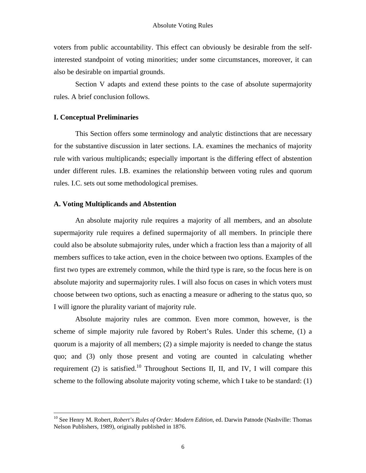voters from public accountability. This effect can obviously be desirable from the selfinterested standpoint of voting minorities; under some circumstances, moreover, it can also be desirable on impartial grounds.

 Section V adapts and extend these points to the case of absolute supermajority rules. A brief conclusion follows.

#### **I. Conceptual Preliminaries**

 $\overline{a}$ 

 This Section offers some terminology and analytic distinctions that are necessary for the substantive discussion in later sections. I.A. examines the mechanics of majority rule with various multiplicands; especially important is the differing effect of abstention under different rules. I.B. examines the relationship between voting rules and quorum rules. I.C. sets out some methodological premises.

#### **A. Voting Multiplicands and Abstention**

 An absolute majority rule requires a majority of all members, and an absolute supermajority rule requires a defined supermajority of all members. In principle there could also be absolute submajority rules, under which a fraction less than a majority of all members suffices to take action, even in the choice between two options. Examples of the first two types are extremely common, while the third type is rare, so the focus here is on absolute majority and supermajority rules. I will also focus on cases in which voters must choose between two options, such as enacting a measure or adhering to the status quo, so I will ignore the plurality variant of majority rule.

 Absolute majority rules are common. Even more common, however, is the scheme of simple majority rule favored by Robert's Rules. Under this scheme, (1) a quorum is a majority of all members; (2) a simple majority is needed to change the status quo; and (3) only those present and voting are counted in calculating whether requirement (2) is satisfied.<sup>10</sup> Throughout Sections II, II, and IV, I will compare this scheme to the following absolute majority voting scheme, which I take to be standard: (1)

<sup>10</sup> See Henry M. Robert, *Robert's Rules of Order: Modern Edition*, ed. Darwin Patnode (Nashville: Thomas Nelson Publishers, 1989), originally published in 1876.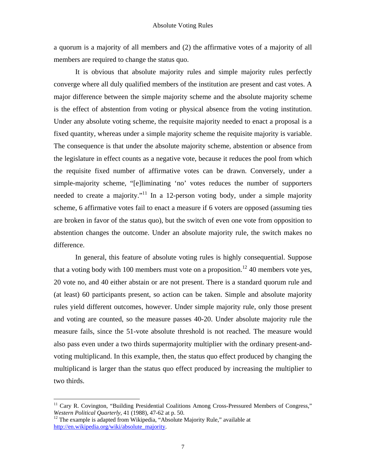a quorum is a majority of all members and (2) the affirmative votes of a majority of all members are required to change the status quo.

 It is obvious that absolute majority rules and simple majority rules perfectly converge where all duly qualified members of the institution are present and cast votes. A major difference between the simple majority scheme and the absolute majority scheme is the effect of abstention from voting or physical absence from the voting institution. Under any absolute voting scheme, the requisite majority needed to enact a proposal is a fixed quantity, whereas under a simple majority scheme the requisite majority is variable. The consequence is that under the absolute majority scheme, abstention or absence from the legislature in effect counts as a negative vote, because it reduces the pool from which the requisite fixed number of affirmative votes can be drawn. Conversely, under a simple-majority scheme, "[e]liminating 'no' votes reduces the number of supporters needed to create a majority."<sup>11</sup> In a 12-person voting body, under a simple majority scheme, 6 affirmative votes fail to enact a measure if 6 voters are opposed (assuming ties are broken in favor of the status quo), but the switch of even one vote from opposition to abstention changes the outcome. Under an absolute majority rule, the switch makes no difference.

 In general, this feature of absolute voting rules is highly consequential. Suppose that a voting body with 100 members must vote on a proposition.<sup>12</sup> 40 members vote yes, 20 vote no, and 40 either abstain or are not present. There is a standard quorum rule and (at least) 60 participants present, so action can be taken. Simple and absolute majority rules yield different outcomes, however. Under simple majority rule, only those present and voting are counted, so the measure passes 40-20. Under absolute majority rule the measure fails, since the 51-vote absolute threshold is not reached. The measure would also pass even under a two thirds supermajority multiplier with the ordinary present-andvoting multiplicand. In this example, then, the status quo effect produced by changing the multiplicand is larger than the status quo effect produced by increasing the multiplier to two thirds.

<sup>&</sup>lt;sup>11</sup> Cary R. Covington, "Building Presidential Coalitions Among Cross-Pressured Members of Congress," *Western Political Quarterly*, 41 (1988), 47-62 at p. 50.<br><sup>12</sup> The example is adapted from Wikipedia, "Absolute Majority Rule," available at

http://en.wikipedia.org/wiki/absolute\_majority.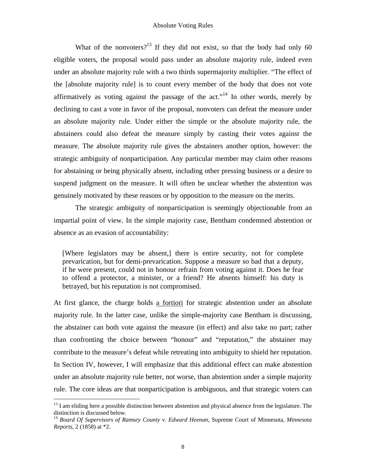What of the nonvoters?<sup>13</sup> If they did not exist, so that the body had only 60 eligible voters, the proposal would pass under an absolute majority rule, indeed even under an absolute majority rule with a two thirds supermajority multiplier. "The effect of the [absolute majority rule] is to count every member of the body that does not vote affirmatively as voting against the passage of the act."<sup>14</sup> In other words, merely by declining to cast a vote in favor of the proposal, nonvoters can defeat the measure under an absolute majority rule. Under either the simple or the absolute majority rule, the abstainers could also defeat the measure simply by casting their votes against the measure. The absolute majority rule gives the abstainers another option, however: the strategic ambiguity of nonparticipation. Any particular member may claim other reasons for abstaining or being physically absent, including other pressing business or a desire to suspend judgment on the measure. It will often be unclear whether the abstention was genuinely motivated by these reasons or by opposition to the measure on the merits.

 The strategic ambiguity of nonparticipation is seemingly objectionable from an impartial point of view. In the simple majority case, Bentham condemned abstention or absence as an evasion of accountability:

[Where legislators may be absent,] there is entire security, not for complete prevarication, but for demi-prevarication. Suppose a measure so bad that a deputy, if he were present, could not in honour refrain from voting against it. Does he fear to offend a protector, a minister, or a friend? He absents himself: his duty is betrayed, but his reputation is not compromised.

At first glance, the charge holds a fortiori for strategic abstention under an absolute majority rule. In the latter case, unlike the simple-majority case Bentham is discussing, the abstainer can both vote against the measure (in effect) and also take no part; rather than confronting the choice between "honour" and "reputation," the abstainer may contribute to the measure's defeat while retreating into ambiguity to shield her reputation. In Section IV, however, I will emphasize that this additional effect can make abstention under an absolute majority rule better, not worse, than abstention under a simple majority rule. The core ideas are that nonparticipation is ambiguous, and that strategic voters can

 $13$  I am eliding here a possible distinction between abstention and physical absence from the legislature. The distinction is discussed below.

<sup>14</sup> *Board Of Supervisors of Ramsey County v. Edward Heenan*, Supreme Court of Minnesota, *Minnesota Reports*, 2 (1858) at \*2.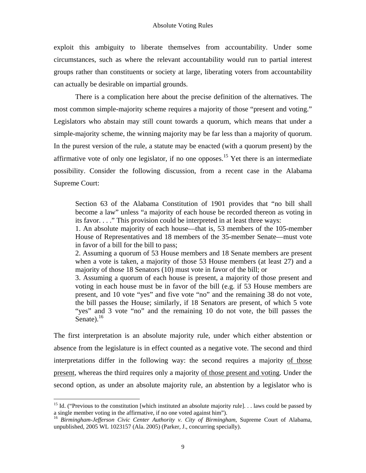exploit this ambiguity to liberate themselves from accountability. Under some circumstances, such as where the relevant accountability would run to partial interest groups rather than constituents or society at large, liberating voters from accountability can actually be desirable on impartial grounds.

 There is a complication here about the precise definition of the alternatives. The most common simple-majority scheme requires a majority of those "present and voting." Legislators who abstain may still count towards a quorum, which means that under a simple-majority scheme, the winning majority may be far less than a majority of quorum. In the purest version of the rule, a statute may be enacted (with a quorum present) by the affirmative vote of only one legislator, if no one opposes.<sup>15</sup> Yet there is an intermediate possibility. Consider the following discussion, from a recent case in the Alabama Supreme Court:

Section 63 of the Alabama Constitution of 1901 provides that "no bill shall become a law" unless "a majority of each house be recorded thereon as voting in its favor. . . ." This provision could be interpreted in at least three ways:

1. An absolute majority of each house—that is, 53 members of the 105-member House of Representatives and 18 members of the 35-member Senate—must vote in favor of a bill for the bill to pass;

2. Assuming a quorum of 53 House members and 18 Senate members are present when a vote is taken, a majority of those 53 House members (at least 27) and a majority of those 18 Senators (10) must vote in favor of the bill; or

3. Assuming a quorum of each house is present, a majority of those present and voting in each house must be in favor of the bill (e.g. if 53 House members are present, and 10 vote "yes" and five vote "no" and the remaining 38 do not vote, the bill passes the House; similarly, if 18 Senators are present, of which 5 vote "yes" and 3 vote "no" and the remaining 10 do not vote, the bill passes the Senate). $^{16}$ 

The first interpretation is an absolute majority rule, under which either abstention or absence from the legislature is in effect counted as a negative vote. The second and third interpretations differ in the following way: the second requires a majority of those present, whereas the third requires only a majority of those present and voting. Under the second option, as under an absolute majority rule, an abstention by a legislator who is

<sup>&</sup>lt;sup>15</sup> Id. ("Previous to the constitution [which instituted an absolute majority rule]... laws could be passed by a single member voting in the affirmative, if no one voted against him").

<sup>&</sup>lt;sup>16</sup> Birmingham-Jefferson Civic Center Authority v. City of Birmingham, Supreme Court of Alabama, unpublished, 2005 WL 1023157 (Ala. 2005) (Parker, J., concurring specially).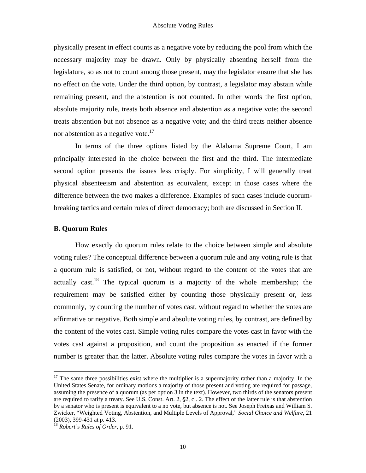physically present in effect counts as a negative vote by reducing the pool from which the necessary majority may be drawn. Only by physically absenting herself from the legislature, so as not to count among those present, may the legislator ensure that she has no effect on the vote. Under the third option, by contrast, a legislator may abstain while remaining present, and the abstention is not counted. In other words the first option, absolute majority rule, treats both absence and abstention as a negative vote; the second treats abstention but not absence as a negative vote; and the third treats neither absence nor abstention as a negative vote. $17$ 

 In terms of the three options listed by the Alabama Supreme Court, I am principally interested in the choice between the first and the third. The intermediate second option presents the issues less crisply. For simplicity, I will generally treat physical absenteeism and abstention as equivalent, except in those cases where the difference between the two makes a difference. Examples of such cases include quorumbreaking tactics and certain rules of direct democracy; both are discussed in Section II.

#### **B. Quorum Rules**

 How exactly do quorum rules relate to the choice between simple and absolute voting rules? The conceptual difference between a quorum rule and any voting rule is that a quorum rule is satisfied, or not, without regard to the content of the votes that are actually cast.<sup>18</sup> The typical quorum is a majority of the whole membership; the requirement may be satisfied either by counting those physically present or, less commonly, by counting the number of votes cast, without regard to whether the votes are affirmative or negative. Both simple and absolute voting rules, by contrast, are defined by the content of the votes cast. Simple voting rules compare the votes cast in favor with the votes cast against a proposition, and count the proposition as enacted if the former number is greater than the latter. Absolute voting rules compare the votes in favor with a

1

 $17$  The same three possibilities exist where the multiplier is a supermajority rather than a majority. In the United States Senate, for ordinary motions a majority of those present and voting are required for passage, assuming the presence of a quorum (as per option 3 in the text). However, two thirds of the senators present are required to ratify a treaty. See U.S. Const. Art.  $2$ ,  $\S2$ , cl. 2. The effect of the latter rule is that abstention by a senator who is present is equivalent to a no vote, but absence is not. See Joseph Freixas and William S. Zwicker, "Weighted Voting, Abstention, and Multiple Levels of Approval," *Social Choice and Welfare*, 21 (2003), 399-431 at p. 413.

<sup>18</sup> *Robert's Rules of Order*, p. 91.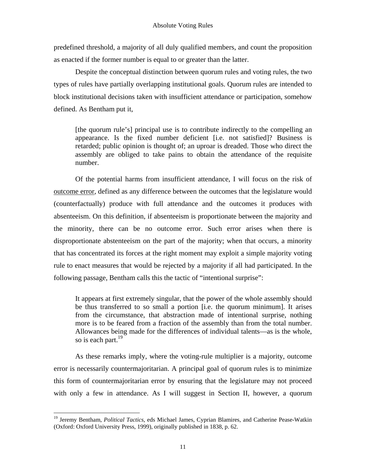predefined threshold, a majority of all duly qualified members, and count the proposition as enacted if the former number is equal to or greater than the latter.

 Despite the conceptual distinction between quorum rules and voting rules, the two types of rules have partially overlapping institutional goals. Quorum rules are intended to block institutional decisions taken with insufficient attendance or participation, somehow defined. As Bentham put it,

 [the quorum rule's] principal use is to contribute indirectly to the compelling an appearance. Is the fixed number deficient [i.e. not satisfied]? Business is retarded; public opinion is thought of; an uproar is dreaded. Those who direct the assembly are obliged to take pains to obtain the attendance of the requisite number.

 Of the potential harms from insufficient attendance, I will focus on the risk of outcome error, defined as any difference between the outcomes that the legislature would (counterfactually) produce with full attendance and the outcomes it produces with absenteeism. On this definition, if absenteeism is proportionate between the majority and the minority, there can be no outcome error. Such error arises when there is disproportionate abstenteeism on the part of the majority; when that occurs, a minority that has concentrated its forces at the right moment may exploit a simple majority voting rule to enact measures that would be rejected by a majority if all had participated. In the following passage, Bentham calls this the tactic of "intentional surprise":

 It appears at first extremely singular, that the power of the whole assembly should be thus transferred to so small a portion [i.e. the quorum minimum]. It arises from the circumstance, that abstraction made of intentional surprise, nothing more is to be feared from a fraction of the assembly than from the total number. Allowances being made for the differences of individual talents—as is the whole, so is each part.<sup>19</sup>

 As these remarks imply, where the voting-rule multiplier is a majority, outcome error is necessarily countermajoritarian. A principal goal of quorum rules is to minimize this form of countermajoritarian error by ensuring that the legislature may not proceed with only a few in attendance. As I will suggest in Section II, however, a quorum

<sup>&</sup>lt;sup>19</sup> Jeremy Bentham, *Political Tactics*, eds Michael James, Cyprian Blamires, and Catherine Pease-Watkin (Oxford: Oxford University Press, 1999), originally published in 1838, p. 62.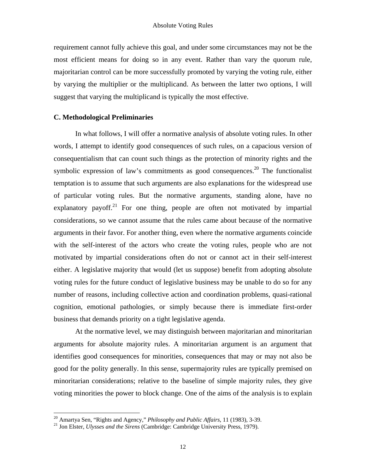requirement cannot fully achieve this goal, and under some circumstances may not be the most efficient means for doing so in any event. Rather than vary the quorum rule, majoritarian control can be more successfully promoted by varying the voting rule, either by varying the multiplier or the multiplicand. As between the latter two options, I will suggest that varying the multiplicand is typically the most effective.

#### **C. Methodological Preliminaries**

 In what follows, I will offer a normative analysis of absolute voting rules. In other words, I attempt to identify good consequences of such rules, on a capacious version of consequentialism that can count such things as the protection of minority rights and the symbolic expression of law's commitments as good consequences.<sup>20</sup> The functionalist temptation is to assume that such arguments are also explanations for the widespread use of particular voting rules. But the normative arguments, standing alone, have no explanatory payoff.<sup>21</sup> For one thing, people are often not motivated by impartial considerations, so we cannot assume that the rules came about because of the normative arguments in their favor. For another thing, even where the normative arguments coincide with the self-interest of the actors who create the voting rules, people who are not motivated by impartial considerations often do not or cannot act in their self-interest either. A legislative majority that would (let us suppose) benefit from adopting absolute voting rules for the future conduct of legislative business may be unable to do so for any number of reasons, including collective action and coordination problems, quasi-rational cognition, emotional pathologies, or simply because there is immediate first-order business that demands priority on a tight legislative agenda.

 At the normative level, we may distinguish between majoritarian and minoritarian arguments for absolute majority rules. A minoritarian argument is an argument that identifies good consequences for minorities, consequences that may or may not also be good for the polity generally. In this sense, supermajority rules are typically premised on minoritarian considerations; relative to the baseline of simple majority rules, they give voting minorities the power to block change. One of the aims of the analysis is to explain

<sup>&</sup>lt;sup>20</sup> Amartya Sen, "Rights and Agency," Philosophy and Public Affairs, 11 (1983), 3-39.

<sup>21</sup> Jon Elster, *Ulysses and the Sirens*, Cambridge: Cambridge University Press, 1979).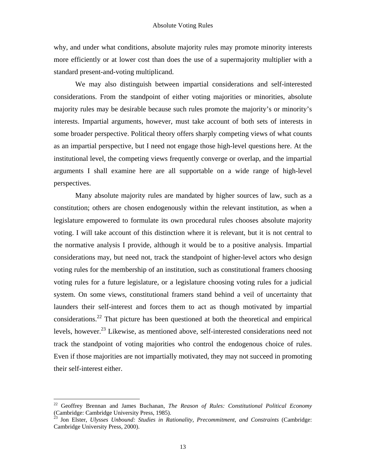why, and under what conditions, absolute majority rules may promote minority interests more efficiently or at lower cost than does the use of a supermajority multiplier with a standard present-and-voting multiplicand.

 We may also distinguish between impartial considerations and self-interested considerations. From the standpoint of either voting majorities or minorities, absolute majority rules may be desirable because such rules promote the majority's or minority's interests. Impartial arguments, however, must take account of both sets of interests in some broader perspective. Political theory offers sharply competing views of what counts as an impartial perspective, but I need not engage those high-level questions here. At the institutional level, the competing views frequently converge or overlap, and the impartial arguments I shall examine here are all supportable on a wide range of high-level perspectives.

 Many absolute majority rules are mandated by higher sources of law, such as a constitution; others are chosen endogenously within the relevant institution, as when a legislature empowered to formulate its own procedural rules chooses absolute majority voting. I will take account of this distinction where it is relevant, but it is not central to the normative analysis I provide, although it would be to a positive analysis. Impartial considerations may, but need not, track the standpoint of higher-level actors who design voting rules for the membership of an institution, such as constitutional framers choosing voting rules for a future legislature, or a legislature choosing voting rules for a judicial system. On some views, constitutional framers stand behind a veil of uncertainty that launders their self-interest and forces them to act as though motivated by impartial considerations.22 That picture has been questioned at both the theoretical and empirical levels, however.<sup>23</sup> Likewise, as mentioned above, self-interested considerations need not track the standpoint of voting majorities who control the endogenous choice of rules. Even if those majorities are not impartially motivated, they may not succeed in promoting their self-interest either.

<sup>22</sup> Geoffrey Brennan and James Buchanan, *The Reason of Rules: Constitutional Political Economy* (Cambridge: Cambridge University Press, 1985).

<sup>&</sup>lt;sup>23</sup> Jon Elster, *Ulysses Unbound: Studies in Rationality, Precommitment, and Constraints* (Cambridge: Cambridge University Press, 2000).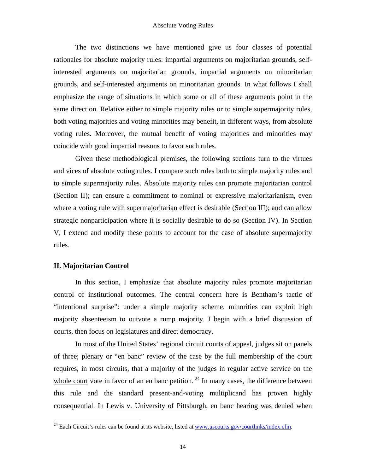The two distinctions we have mentioned give us four classes of potential rationales for absolute majority rules: impartial arguments on majoritarian grounds, selfinterested arguments on majoritarian grounds, impartial arguments on minoritarian grounds, and self-interested arguments on minoritarian grounds. In what follows I shall emphasize the range of situations in which some or all of these arguments point in the same direction. Relative either to simple majority rules or to simple supermajority rules, both voting majorities and voting minorities may benefit, in different ways, from absolute voting rules. Moreover, the mutual benefit of voting majorities and minorities may coincide with good impartial reasons to favor such rules.

 Given these methodological premises, the following sections turn to the virtues and vices of absolute voting rules. I compare such rules both to simple majority rules and to simple supermajority rules. Absolute majority rules can promote majoritarian control (Section II); can ensure a commitment to nominal or expressive majoritarianism, even where a voting rule with supermajoritarian effect is desirable (Section III); and can allow strategic nonparticipation where it is socially desirable to do so (Section IV). In Section V, I extend and modify these points to account for the case of absolute supermajority rules.

#### **II. Majoritarian Control**

<u>.</u>

 In this section, I emphasize that absolute majority rules promote majoritarian control of institutional outcomes. The central concern here is Bentham's tactic of "intentional surprise": under a simple majority scheme, minorities can exploit high majority absenteeism to outvote a rump majority. I begin with a brief discussion of courts, then focus on legislatures and direct democracy.

 In most of the United States' regional circuit courts of appeal, judges sit on panels of three; plenary or "en banc" review of the case by the full membership of the court requires, in most circuits, that a majority of the judges in regular active service on the whole court vote in favor of an en banc petition.  $24$  In many cases, the difference between this rule and the standard present-and-voting multiplicand has proven highly consequential. In Lewis v. University of Pittsburgh, en banc hearing was denied when

<sup>&</sup>lt;sup>24</sup> Each Circuit's rules can be found at its website, listed at <u>www.uscourts.gov/courtlinks/index.cfm</u>.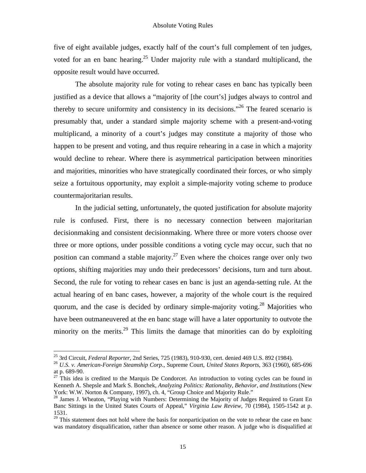five of eight available judges, exactly half of the court's full complement of ten judges, voted for an en banc hearing.<sup>25</sup> Under majority rule with a standard multiplicand, the opposite result would have occurred.

 The absolute majority rule for voting to rehear cases en banc has typically been justified as a device that allows a "majority of [the court's] judges always to control and thereby to secure uniformity and consistency in its decisions."26 The feared scenario is presumably that, under a standard simple majority scheme with a present-and-voting multiplicand, a minority of a court's judges may constitute a majority of those who happen to be present and voting, and thus require rehearing in a case in which a majority would decline to rehear. Where there is asymmetrical participation between minorities and majorities, minorities who have strategically coordinated their forces, or who simply seize a fortuitous opportunity, may exploit a simple-majority voting scheme to produce countermajoritarian results.

 In the judicial setting, unfortunately, the quoted justification for absolute majority rule is confused. First, there is no necessary connection between majoritarian decisionmaking and consistent decisionmaking. Where three or more voters choose over three or more options, under possible conditions a voting cycle may occur, such that no position can command a stable majority.<sup>27</sup> Even where the choices range over only two options, shifting majorities may undo their predecessors' decisions, turn and turn about. Second, the rule for voting to rehear cases en banc is just an agenda-setting rule. At the actual hearing of en banc cases, however, a majority of the whole court is the required quorum, and the case is decided by ordinary simple-majority voting.<sup>28</sup> Majorities who have been outmaneuvered at the en banc stage will have a later opportunity to outvote the minority on the merits.<sup>29</sup> This limits the damage that minorities can do by exploiting

<sup>25 3</sup>rd Circuit, *Federal Reporter*, 2nd Series, 725 (1983), 910-930, cert. denied 469 U.S. 892 (1984). 26 *U.S. v. American-Foreign Steamship Corp.*, Supreme Court, *United States Reports*, 363 (1960), 685-696 at p. 689-90.

 $27$  This idea is credited to the Marquis De Condorcet. An introduction to voting cycles can be found in Kenneth A. Shepsle and Mark S. Bonchek, *Analyzing Politics: Rationality, Behavior, and Institutions* (New

<sup>&</sup>lt;sup>28</sup> James J. Wheaton, "Playing with Numbers: Determining the Majority of Judges Required to Grant En Banc Sittings in the United States Courts of Appeal," *Virginia Law Review*, 70 (1984), 1505-1542 at p. 1531.

<sup>&</sup>lt;sup>29</sup> This statement does not hold where the basis for nonparticipation on the vote to rehear the case en banc was mandatory disqualification, rather than absence or some other reason. A judge who is disqualified at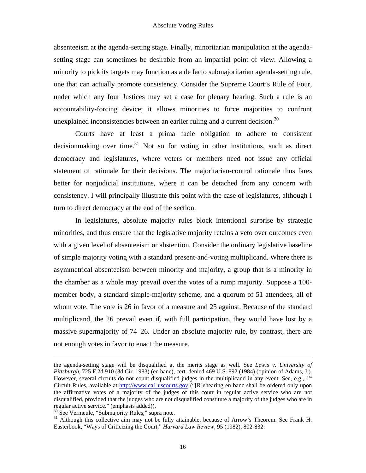absenteeism at the agenda-setting stage. Finally, minoritarian manipulation at the agendasetting stage can sometimes be desirable from an impartial point of view. Allowing a minority to pick its targets may function as a de facto submajoritarian agenda-setting rule, one that can actually promote consistency. Consider the Supreme Court's Rule of Four, under which any four Justices may set a case for plenary hearing. Such a rule is an accountability-forcing device; it allows minorities to force majorities to confront unexplained inconsistencies between an earlier ruling and a current decision.<sup>30</sup>

 Courts have at least a prima facie obligation to adhere to consistent decisionmaking over time. $31$  Not so for voting in other institutions, such as direct democracy and legislatures, where voters or members need not issue any official statement of rationale for their decisions. The majoritarian-control rationale thus fares better for nonjudicial institutions, where it can be detached from any concern with consistency. I will principally illustrate this point with the case of legislatures, although I turn to direct democracy at the end of the section.

 In legislatures, absolute majority rules block intentional surprise by strategic minorities, and thus ensure that the legislative majority retains a veto over outcomes even with a given level of absenteeism or abstention. Consider the ordinary legislative baseline of simple majority voting with a standard present-and-voting multiplicand. Where there is asymmetrical absenteeism between minority and majority, a group that is a minority in the chamber as a whole may prevail over the votes of a rump majority. Suppose a 100 member body, a standard simple-majority scheme, and a quorum of 51 attendees, all of whom vote. The vote is 26 in favor of a measure and 25 against. Because of the standard multiplicand, the 26 prevail even if, with full participation, they would have lost by a massive supermajority of 74–26. Under an absolute majority rule, by contrast, there are not enough votes in favor to enact the measure.

the agenda-setting stage will be disqualified at the merits stage as well. See *Lewis v. University of Pittsburgh*, 725 F.2d 910 (3d Cir. 1983) (en banc), cert. denied 469 U.S. 892 (1984) (opinion of Adams, J.). However, several circuits do not count disqualified judges in the multiplicand in any event. See, e.g., 1<sup>st</sup> Circuit Rules, available at http://www.ca1.uscourts.gov ("[R]ehearing en banc shall be ordered only upon the affirmative votes of a majority of the judges of this court in regular active service who are not disqualified, provided that the judges who are not disqualified constitute a majority of the judges who are in regular active service." (emphasis added)).<br><sup>30</sup> See Vermeule, "Submajority Rules," supra note.

<sup>&</sup>lt;sup>31</sup> Although this collective aim may not be fully attainable, because of Arrow's Theorem. See Frank H. Easterbook, "Ways of Criticizing the Court," *Harvard Law Review*, 95 (1982), 802-832.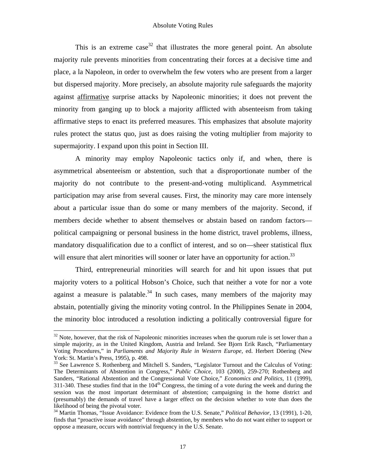This is an extreme case<sup>32</sup> that illustrates the more general point. An absolute majority rule prevents minorities from concentrating their forces at a decisive time and place, a la Napoleon, in order to overwhelm the few voters who are present from a larger but dispersed majority. More precisely, an absolute majority rule safeguards the majority against affirmative surprise attacks by Napoleonic minorities; it does not prevent the minority from ganging up to block a majority afflicted with absenteeism from taking affirmative steps to enact its preferred measures. This emphasizes that absolute majority rules protect the status quo, just as does raising the voting multiplier from majority to supermajority. I expand upon this point in Section III.

 A minority may employ Napoleonic tactics only if, and when, there is asymmetrical absenteeism or abstention, such that a disproportionate number of the majority do not contribute to the present-and-voting multiplicand. Asymmetrical participation may arise from several causes. First, the minority may care more intensely about a particular issue than do some or many members of the majority. Second, if members decide whether to absent themselves or abstain based on random factors political campaigning or personal business in the home district, travel problems, illness, mandatory disqualification due to a conflict of interest, and so on—sheer statistical flux will ensure that alert minorities will sooner or later have an opportunity for action.<sup>33</sup>

 Third, entrepreneurial minorities will search for and hit upon issues that put majority voters to a political Hobson's Choice, such that neither a vote for nor a vote against a measure is palatable.<sup>34</sup> In such cases, many members of the majority may abstain, potentially giving the minority voting control. In the Philippines Senate in 2004, the minority bloc introduced a resolution indicting a politically controversial figure for

 $32$  Note, however, that the risk of Napoleonic minorities increases when the quorum rule is set lower than a simple majority, as in the United Kingdom, Austria and Ireland. See Bjorn Erik Rasch, "Parliamentary Voting Procedures," in *Parliaments and Majority Rule in Western Europe*, ed. Herbert Döering (New York: St. Martin's Press, 1995), p. 498.

<sup>&</sup>lt;sup>33</sup> See Lawrence S. Rothenberg and Mitchell S. Sanders, "Legislator Turnout and the Calculus of Voting: The Determinants of Abstention in Congress," *Public Choice*, 103 (2000), 259-270; Rothenberg and Sanders, "Rational Abstention and the Congressional Vote Choice," *Economics and Politics*, 11 (1999), 311-340. These studies find that in the  $104<sup>th</sup>$  Congress, the timing of a vote during the week and during the session was the most important determinant of abstention; campaigning in the home district and (presumably) the demands of travel have a larger effect on the decision whether to vote than does the likelihood of being the pivotal voter.

<sup>34</sup> Martin Thomas, "Issue Avoidance: Evidence from the U.S. Senate," *Political Behavior*, 13 (1991), 1-20, finds that "proactive issue avoidance" through abstention, by members who do not want either to support or oppose a measure, occurs with nontrivial frequency in the U.S. Senate.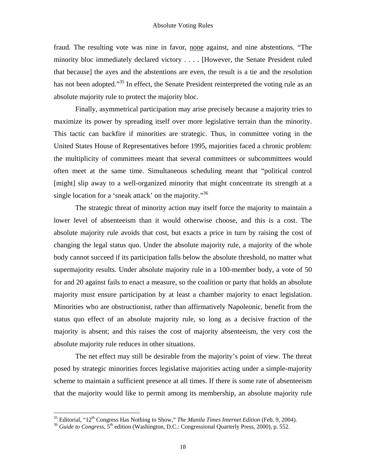fraud. The resulting vote was nine in favor, none against, and nine abstentions. "The minority bloc immediately declared victory . . . . [However, the Senate President ruled that because] the ayes and the abstentions are even, the result is a tie and the resolution has not been adopted."<sup>35</sup> In effect, the Senate President reinterpreted the voting rule as an absolute majority rule to protect the majority bloc.

 Finally, asymmetrical participation may arise precisely because a majority tries to maximize its power by spreading itself over more legislative terrain than the minority. This tactic can backfire if minorities are strategic. Thus, in committee voting in the United States House of Representatives before 1995, majorities faced a chronic problem: the multiplicity of committees meant that several committees or subcommittees would often meet at the same time. Simultaneous scheduling meant that "political control [might] slip away to a well-organized minority that might concentrate its strength at a single location for a 'sneak attack' on the majority."<sup>36</sup>

 The strategic threat of minority action may itself force the majority to maintain a lower level of absenteeism than it would otherwise choose, and this is a cost. The absolute majority rule avoids that cost, but exacts a price in turn by raising the cost of changing the legal status quo. Under the absolute majority rule, a majority of the whole body cannot succeed if its participation falls below the absolute threshold, no matter what supermajority results. Under absolute majority rule in a 100-member body, a vote of 50 for and 20 against fails to enact a measure, so the coalition or party that holds an absolute majority must ensure participation by at least a chamber majority to enact legislation. Minorities who are obstructionist, rather than affirmatively Napoleonic, benefit from the status quo effect of an absolute majority rule, so long as a decisive fraction of the majority is absent; and this raises the cost of majority absenteeism, the very cost the absolute majority rule reduces in other situations.

 The net effect may still be desirable from the majority's point of view. The threat posed by strategic minorities forces legislative majorities acting under a simple-majority scheme to maintain a sufficient presence at all times. If there is some rate of absenteeism that the majority would like to permit among its membership, an absolute majority rule

1

<sup>&</sup>lt;sup>35</sup> Editorial, "12<sup>th</sup> Congress Has Nothing to Show," *The Manila Times Internet Edition* (Feb. 9, 2004).<br><sup>36</sup> *Guide to Congress*, 5<sup>th</sup> edition (Washington, D.C.: Congressional Quarterly Press, 2000), p. 552.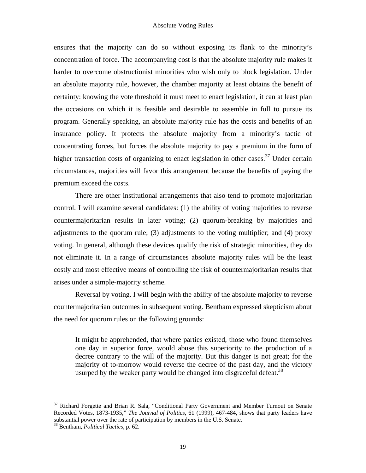ensures that the majority can do so without exposing its flank to the minority's concentration of force. The accompanying cost is that the absolute majority rule makes it harder to overcome obstructionist minorities who wish only to block legislation. Under an absolute majority rule, however, the chamber majority at least obtains the benefit of certainty: knowing the vote threshold it must meet to enact legislation, it can at least plan the occasions on which it is feasible and desirable to assemble in full to pursue its program. Generally speaking, an absolute majority rule has the costs and benefits of an insurance policy. It protects the absolute majority from a minority's tactic of concentrating forces, but forces the absolute majority to pay a premium in the form of higher transaction costs of organizing to enact legislation in other cases.<sup>37</sup> Under certain circumstances, majorities will favor this arrangement because the benefits of paying the premium exceed the costs.

 There are other institutional arrangements that also tend to promote majoritarian control. I will examine several candidates: (1) the ability of voting majorities to reverse countermajoritarian results in later voting; (2) quorum-breaking by majorities and adjustments to the quorum rule; (3) adjustments to the voting multiplier; and (4) proxy voting. In general, although these devices qualify the risk of strategic minorities, they do not eliminate it. In a range of circumstances absolute majority rules will be the least costly and most effective means of controlling the risk of countermajoritarian results that arises under a simple-majority scheme.

 Reversal by voting. I will begin with the ability of the absolute majority to reverse countermajoritarian outcomes in subsequent voting. Bentham expressed skepticism about the need for quorum rules on the following grounds:

 It might be apprehended, that where parties existed, those who found themselves one day in superior force, would abuse this superiority to the production of a decree contrary to the will of the majority. But this danger is not great; for the majority of to-morrow would reverse the decree of the past day, and the victory usurped by the weaker party would be changed into disgraceful defeat.<sup>38</sup>

<sup>&</sup>lt;sup>37</sup> Richard Forgette and Brian R. Sala, "Conditional Party Government and Member Turnout on Senate Recorded Votes, 1873-1935," *The Journal of Politics*, 61 (1999), 467-484, shows that party leaders have substantial power over the rate of participation by members in the U.S. Senate.

<sup>38</sup> Bentham, *Political Tactics*, p. 62.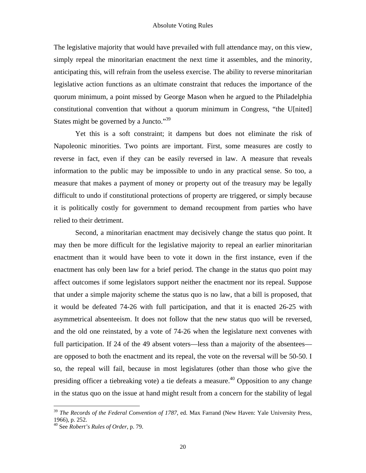The legislative majority that would have prevailed with full attendance may, on this view, simply repeal the minoritarian enactment the next time it assembles, and the minority, anticipating this, will refrain from the useless exercise. The ability to reverse minoritarian legislative action functions as an ultimate constraint that reduces the importance of the quorum minimum, a point missed by George Mason when he argued to the Philadelphia constitutional convention that without a quorum minimum in Congress, "the U[nited] States might be governed by a Juncto."<sup>39</sup>

 Yet this is a soft constraint; it dampens but does not eliminate the risk of Napoleonic minorities. Two points are important. First, some measures are costly to reverse in fact, even if they can be easily reversed in law. A measure that reveals information to the public may be impossible to undo in any practical sense. So too, a measure that makes a payment of money or property out of the treasury may be legally difficult to undo if constitutional protections of property are triggered, or simply because it is politically costly for government to demand recoupment from parties who have relied to their detriment.

 Second, a minoritarian enactment may decisively change the status quo point. It may then be more difficult for the legislative majority to repeal an earlier minoritarian enactment than it would have been to vote it down in the first instance, even if the enactment has only been law for a brief period. The change in the status quo point may affect outcomes if some legislators support neither the enactment nor its repeal. Suppose that under a simple majority scheme the status quo is no law, that a bill is proposed, that it would be defeated 74-26 with full participation, and that it is enacted 26-25 with asymmetrical absenteeism. It does not follow that the new status quo will be reversed, and the old one reinstated, by a vote of 74-26 when the legislature next convenes with full participation. If 24 of the 49 absent voters—less than a majority of the absentees are opposed to both the enactment and its repeal, the vote on the reversal will be 50-50. I so, the repeal will fail, because in most legislatures (other than those who give the presiding officer a tiebreaking vote) a tie defeats a measure.<sup>40</sup> Opposition to any change in the status quo on the issue at hand might result from a concern for the stability of legal

<sup>&</sup>lt;sup>39</sup> The Records of the Federal Convention of 1787, ed. Max Farrand (New Haven: Yale University Press, 1966), p. 252.

<sup>40</sup> See *Robert's Rules of Order*, p. 79.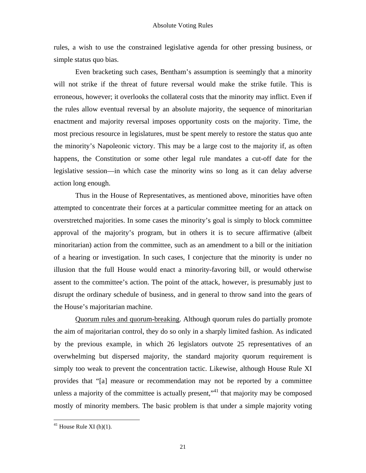rules, a wish to use the constrained legislative agenda for other pressing business, or simple status quo bias.

 Even bracketing such cases, Bentham's assumption is seemingly that a minority will not strike if the threat of future reversal would make the strike futile. This is erroneous, however; it overlooks the collateral costs that the minority may inflict. Even if the rules allow eventual reversal by an absolute majority, the sequence of minoritarian enactment and majority reversal imposes opportunity costs on the majority. Time, the most precious resource in legislatures, must be spent merely to restore the status quo ante the minority's Napoleonic victory. This may be a large cost to the majority if, as often happens, the Constitution or some other legal rule mandates a cut-off date for the legislative session—in which case the minority wins so long as it can delay adverse action long enough.

 Thus in the House of Representatives, as mentioned above, minorities have often attempted to concentrate their forces at a particular committee meeting for an attack on overstretched majorities. In some cases the minority's goal is simply to block committee approval of the majority's program, but in others it is to secure affirmative (albeit minoritarian) action from the committee, such as an amendment to a bill or the initiation of a hearing or investigation. In such cases, I conjecture that the minority is under no illusion that the full House would enact a minority-favoring bill, or would otherwise assent to the committee's action. The point of the attack, however, is presumably just to disrupt the ordinary schedule of business, and in general to throw sand into the gears of the House's majoritarian machine.

 Quorum rules and quorum-breaking. Although quorum rules do partially promote the aim of majoritarian control, they do so only in a sharply limited fashion. As indicated by the previous example, in which 26 legislators outvote 25 representatives of an overwhelming but dispersed majority, the standard majority quorum requirement is simply too weak to prevent the concentration tactic. Likewise, although House Rule XI provides that "[a] measure or recommendation may not be reported by a committee unless a majority of the committee is actually present,<sup>"41</sup> that majority may be composed mostly of minority members. The basic problem is that under a simple majority voting

 $41$  House Rule XI (h)(1).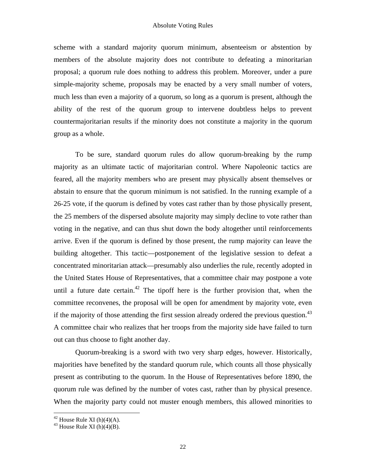scheme with a standard majority quorum minimum, absenteeism or abstention by members of the absolute majority does not contribute to defeating a minoritarian proposal; a quorum rule does nothing to address this problem. Moreover, under a pure simple-majority scheme, proposals may be enacted by a very small number of voters, much less than even a majority of a quorum, so long as a quorum is present, although the ability of the rest of the quorum group to intervene doubtless helps to prevent countermajoritarian results if the minority does not constitute a majority in the quorum group as a whole.

 To be sure, standard quorum rules do allow quorum-breaking by the rump majority as an ultimate tactic of majoritarian control. Where Napoleonic tactics are feared, all the majority members who are present may physically absent themselves or abstain to ensure that the quorum minimum is not satisfied. In the running example of a 26-25 vote, if the quorum is defined by votes cast rather than by those physically present, the 25 members of the dispersed absolute majority may simply decline to vote rather than voting in the negative, and can thus shut down the body altogether until reinforcements arrive. Even if the quorum is defined by those present, the rump majority can leave the building altogether. This tactic—postponement of the legislative session to defeat a concentrated minoritarian attack—presumably also underlies the rule, recently adopted in the United States House of Representatives, that a committee chair may postpone a vote until a future date certain.<sup>42</sup> The tipoff here is the further provision that, when the committee reconvenes, the proposal will be open for amendment by majority vote, even if the majority of those attending the first session already ordered the previous question.<sup>43</sup> A committee chair who realizes that her troops from the majority side have failed to turn out can thus choose to fight another day.

 Quorum-breaking is a sword with two very sharp edges, however. Historically, majorities have benefited by the standard quorum rule, which counts all those physically present as contributing to the quorum. In the House of Representatives before 1890, the quorum rule was defined by the number of votes cast, rather than by physical presence. When the majority party could not muster enough members, this allowed minorities to

1

 $42$  House Rule XI (h)(4)(A).

 $43$  House Rule XI (h)(4)(B).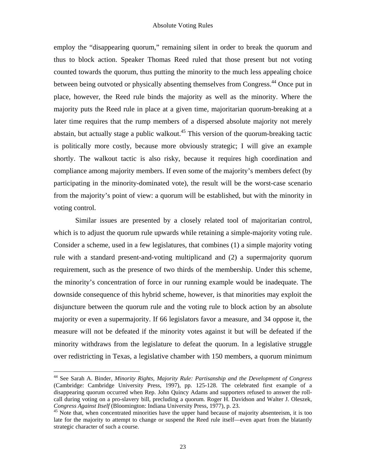employ the "disappearing quorum," remaining silent in order to break the quorum and thus to block action. Speaker Thomas Reed ruled that those present but not voting counted towards the quorum, thus putting the minority to the much less appealing choice between being outvoted or physically absenting themselves from Congress.<sup>44</sup> Once put in place, however, the Reed rule binds the majority as well as the minority. Where the majority puts the Reed rule in place at a given time, majoritarian quorum-breaking at a later time requires that the rump members of a dispersed absolute majority not merely abstain, but actually stage a public walkout.<sup>45</sup> This version of the quorum-breaking tactic is politically more costly, because more obviously strategic; I will give an example shortly. The walkout tactic is also risky, because it requires high coordination and compliance among majority members. If even some of the majority's members defect (by participating in the minority-dominated vote), the result will be the worst-case scenario from the majority's point of view: a quorum will be established, but with the minority in voting control.

 Similar issues are presented by a closely related tool of majoritarian control, which is to adjust the quorum rule upwards while retaining a simple-majority voting rule. Consider a scheme, used in a few legislatures, that combines (1) a simple majority voting rule with a standard present-and-voting multiplicand and (2) a supermajority quorum requirement, such as the presence of two thirds of the membership. Under this scheme, the minority's concentration of force in our running example would be inadequate. The downside consequence of this hybrid scheme, however, is that minorities may exploit the disjuncture between the quorum rule and the voting rule to block action by an absolute majority or even a supermajority. If 66 legislators favor a measure, and 34 oppose it, the measure will not be defeated if the minority votes against it but will be defeated if the minority withdraws from the legislature to defeat the quorum. In a legislative struggle over redistricting in Texas, a legislative chamber with 150 members, a quorum minimum

<sup>44</sup> See Sarah A. Binder, *Minority Rights, Majority Rule: Partisanship and the Development of Congress* (Cambridge: Cambridge University Press, 1997), pp. 125-128. The celebrated first example of a disappearing quorum occurred when Rep. John Quincy Adams and supporters refused to answer the rollcall during voting on a pro-slavery bill, precluding a quorum. Roger H. Davidson and Walter J. Oleszek, Congress Against Itself (Bloomington: Indiana University Press, 1977), p. 23.

<sup>&</sup>lt;sup>45</sup> Note that, when concentrated minorities have the upper hand because of majority absenteeism, it is too late for the majority to attempt to change or suspend the Reed rule itself—even apart from the blatantly strategic character of such a course.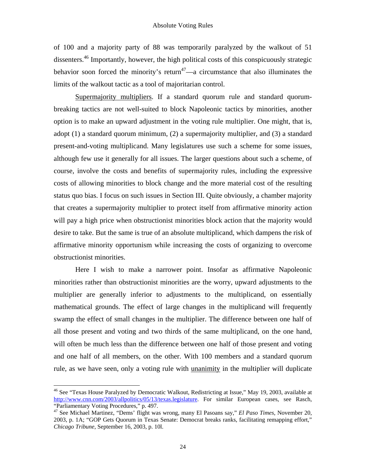of 100 and a majority party of 88 was temporarily paralyzed by the walkout of 51 dissenters.<sup>46</sup> Importantly, however, the high political costs of this conspicuously strategic behavior soon forced the minority's return<sup>47</sup>—a circumstance that also illuminates the limits of the walkout tactic as a tool of majoritarian control.

 Supermajority multipliers. If a standard quorum rule and standard quorumbreaking tactics are not well-suited to block Napoleonic tactics by minorities, another option is to make an upward adjustment in the voting rule multiplier. One might, that is, adopt (1) a standard quorum minimum, (2) a supermajority multiplier, and (3) a standard present-and-voting multiplicand. Many legislatures use such a scheme for some issues, although few use it generally for all issues. The larger questions about such a scheme, of course, involve the costs and benefits of supermajority rules, including the expressive costs of allowing minorities to block change and the more material cost of the resulting status quo bias. I focus on such issues in Section III. Quite obviously, a chamber majority that creates a supermajority multiplier to protect itself from affirmative minority action will pay a high price when obstructionist minorities block action that the majority would desire to take. But the same is true of an absolute multiplicand, which dampens the risk of affirmative minority opportunism while increasing the costs of organizing to overcome obstructionist minorities.

 Here I wish to make a narrower point. Insofar as affirmative Napoleonic minorities rather than obstructionist minorities are the worry, upward adjustments to the multiplier are generally inferior to adjustments to the multiplicand, on essentially mathematical grounds. The effect of large changes in the multiplicand will frequently swamp the effect of small changes in the multiplier. The difference between one half of all those present and voting and two thirds of the same multiplicand, on the one hand, will often be much less than the difference between one half of those present and voting and one half of all members, on the other. With 100 members and a standard quorum rule, as we have seen, only a voting rule with unanimity in the multiplier will duplicate

<sup>&</sup>lt;sup>46</sup> See "Texas House Paralyzed by Democratic Walkout, Redistricting at Issue," May 19, 2003, available at http://www.cnn.com/2003/allpolitics/05/13/texas.legislature. For similar European cases, see Rasch, "Parliamentary Voting Procedures," p. 497.

<sup>47</sup> See Michael Martinez, "Dems' flight was wrong, many El Pasoans say," *El Paso Times*, November 20, 2003, p. 1A; "GOP Gets Quorum in Texas Senate: Democrat breaks ranks, facilitating remapping effort," *Chicago Tribune*, September 16, 2003, p. 10l.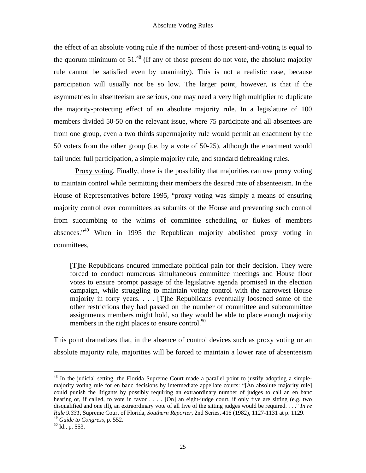the effect of an absolute voting rule if the number of those present-and-voting is equal to the quorum minimum of  $51<sup>48</sup>$  (If any of those present do not vote, the absolute majority rule cannot be satisfied even by unanimity). This is not a realistic case, because participation will usually not be so low. The larger point, however, is that if the asymmetries in absenteeism are serious, one may need a very high multiplier to duplicate the majority-protecting effect of an absolute majority rule. In a legislature of 100 members divided 50-50 on the relevant issue, where 75 participate and all absentees are from one group, even a two thirds supermajority rule would permit an enactment by the 50 voters from the other group (i.e. by a vote of 50-25), although the enactment would fail under full participation, a simple majority rule, and standard tiebreaking rules.

 Proxy voting. Finally, there is the possibility that majorities can use proxy voting to maintain control while permitting their members the desired rate of absenteeism. In the House of Representatives before 1995, "proxy voting was simply a means of ensuring majority control over committees as subunits of the House and preventing such control from succumbing to the whims of committee scheduling or flukes of members absences."49 When in 1995 the Republican majority abolished proxy voting in committees,

[T]he Republicans endured immediate political pain for their decision. They were forced to conduct numerous simultaneous committee meetings and House floor votes to ensure prompt passage of the legislative agenda promised in the election campaign, while struggling to maintain voting control with the narrowest House majority in forty years. . . . [T]he Republicans eventually loosened some of the other restrictions they had passed on the number of committee and subcommittee assignments members might hold, so they would be able to place enough majority members in the right places to ensure control. $50$ 

This point dramatizes that, in the absence of control devices such as proxy voting or an absolute majority rule, majorities will be forced to maintain a lower rate of absenteeism

<sup>&</sup>lt;sup>48</sup> In the judicial setting, the Florida Supreme Court made a parallel point to justify adopting a simplemajority voting rule for en banc decisions by intermediate appellate courts: "[An absolute majority rule] could punish the litigants by possibly requiring an extraordinary number of judges to call an en banc hearing or, if called, to vote in favor . . . . [On] an eight-judge court, if only five are sitting (e.g. two disqualified and one ill), an extraordinary vote of all five of the sitting judges would be required. . . ." *In re Rule 9.331*, Supreme Court of Florida, *Southern Reporter*, 2nd Series, 416 (1982), 1127-1131 at p. 1129.

<sup>49</sup> *Guide to Congress*, p. 552. 50 Id., p. 553.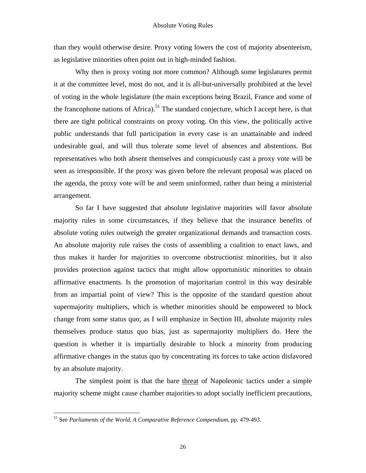than they would otherwise desire. Proxy voting lowers the cost of majority absenteeism, as legislative minorities often point out in high-minded fashion.

 Why then is proxy voting not more common? Although some legislatures permit it at the committee level, most do not, and it is all-but-universally prohibited at the level of voting in the whole legislature (the main exceptions being Brazil, France and some of the francophone nations of Africa).<sup>51</sup> The standard conjecture, which I accept here, is that there are tight political constraints on proxy voting. On this view, the politically active public understands that full participation in every case is an unattainable and indeed undesirable goal, and will thus tolerate some level of absences and abstentions. But representatives who both absent themselves and conspicuously cast a proxy vote will be seen as irresponsible. If the proxy was given before the relevant proposal was placed on the agenda, the proxy vote will be and seem uninformed, rather than being a ministerial arrangement.

 So far I have suggested that absolute legislative majorities will favor absolute majority rules in some circumstances, if they believe that the insurance benefits of absolute voting rules outweigh the greater organizational demands and transaction costs. An absolute majority rule raises the costs of assembling a coalition to enact laws, and thus makes it harder for majorities to overcome obstructionist minorities, but it also provides protection against tactics that might allow opportunistic minorities to obtain affirmative enactments. Is the promotion of majoritarian control in this way desirable from an impartial point of view? This is the opposite of the standard question about supermajority multipliers, which is whether minorities should be empowered to block change from some status quo; as I will emphasize in Section III, absolute majority rules themselves produce status quo bias, just as supermajority multipliers do. Here the question is whether it is impartially desirable to block a minority from producing affirmative changes in the status quo by concentrating its forces to take action disfavored by an absolute majority.

 The simplest point is that the bare threat of Napoleonic tactics under a simple majority scheme might cause chamber majorities to adopt socially inefficient precautions,

<sup>51</sup> See *Parliaments of the World, A Comparative Reference Compendium,* pp. 479-493.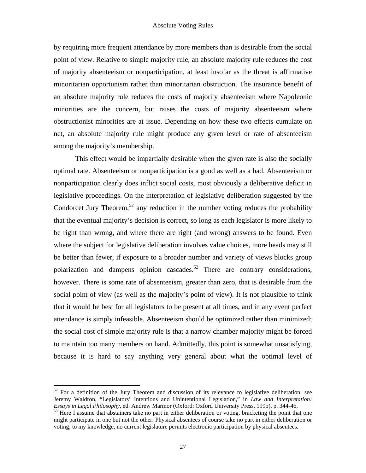by requiring more frequent attendance by more members than is desirable from the social point of view. Relative to simple majority rule, an absolute majority rule reduces the cost of majority absenteeism or nonparticipation, at least insofar as the threat is affirmative minoritarian opportunism rather than minoritarian obstruction. The insurance benefit of an absolute majority rule reduces the costs of majority absenteeism where Napoleonic minorities are the concern, but raises the costs of majority absenteeism where obstructionist minorities are at issue. Depending on how these two effects cumulate on net, an absolute majority rule might produce any given level or rate of absenteeism among the majority's membership.

 This effect would be impartially desirable when the given rate is also the socially optimal rate. Absenteeism or nonparticipation is a good as well as a bad. Absenteeism or nonparticipation clearly does inflict social costs, most obviously a deliberative deficit in legislative proceedings. On the interpretation of legislative deliberation suggested by the Condorcet Jury Theorem,<sup>52</sup> any reduction in the number voting reduces the probability that the eventual majority's decision is correct, so long as each legislator is more likely to be right than wrong, and where there are right (and wrong) answers to be found. Even where the subject for legislative deliberation involves value choices, more heads may still be better than fewer, if exposure to a broader number and variety of views blocks group polarization and dampens opinion cascades.<sup>53</sup> There are contrary considerations, however. There is some rate of absenteeism, greater than zero, that is desirable from the social point of view (as well as the majority's point of view). It is not plausible to think that it would be best for all legislators to be present at all times, and in any event perfect attendance is simply infeasible. Absenteeism should be optimized rather than minimized; the social cost of simple majority rule is that a narrow chamber majority might be forced to maintain too many members on hand. Admittedly, this point is somewhat unsatisfying, because it is hard to say anything very general about what the optimal level of

 $52$  For a definition of the Jury Theorem and discussion of its relevance to legislative deliberation, see Jeremy Waldron, "Legislators' Intentions and Unintentional Legislation," in *Law and Interpretation: Essays in Legal Philosophy*, ed. Andrew Marmor (Oxford: Oxford University Press, 1995), p. 344-46.<br><sup>53</sup> Here I assume that abstainers take no part in either deliberation or voting, bracketing the point that one

might participate in one but not the other. Physical absentees of course take no part in either deliberation or voting; to my knowledge, no current legislature permits electronic participation by physical absentees.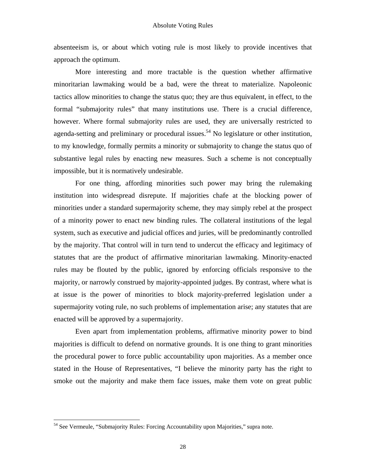absenteeism is, or about which voting rule is most likely to provide incentives that approach the optimum.

 More interesting and more tractable is the question whether affirmative minoritarian lawmaking would be a bad, were the threat to materialize. Napoleonic tactics allow minorities to change the status quo; they are thus equivalent, in effect, to the formal "submajority rules" that many institutions use. There is a crucial difference, however. Where formal submajority rules are used, they are universally restricted to agenda-setting and preliminary or procedural issues.<sup>54</sup> No legislature or other institution, to my knowledge, formally permits a minority or submajority to change the status quo of substantive legal rules by enacting new measures. Such a scheme is not conceptually impossible, but it is normatively undesirable.

 For one thing, affording minorities such power may bring the rulemaking institution into widespread disrepute. If majorities chafe at the blocking power of minorities under a standard supermajority scheme, they may simply rebel at the prospect of a minority power to enact new binding rules. The collateral institutions of the legal system, such as executive and judicial offices and juries, will be predominantly controlled by the majority. That control will in turn tend to undercut the efficacy and legitimacy of statutes that are the product of affirmative minoritarian lawmaking. Minority-enacted rules may be flouted by the public, ignored by enforcing officials responsive to the majority, or narrowly construed by majority-appointed judges. By contrast, where what is at issue is the power of minorities to block majority-preferred legislation under a supermajority voting rule, no such problems of implementation arise; any statutes that are enacted will be approved by a supermajority.

 Even apart from implementation problems, affirmative minority power to bind majorities is difficult to defend on normative grounds. It is one thing to grant minorities the procedural power to force public accountability upon majorities. As a member once stated in the House of Representatives, "I believe the minority party has the right to smoke out the majority and make them face issues, make them vote on great public

<sup>&</sup>lt;sup>54</sup> See Vermeule, "Submajority Rules: Forcing Accountability upon Majorities," supra note.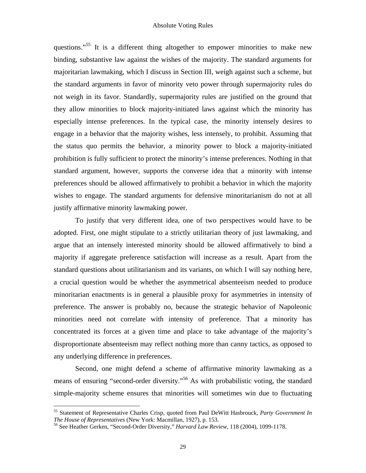questions."<sup>55</sup> It is a different thing altogether to empower minorities to make new binding, substantive law against the wishes of the majority. The standard arguments for majoritarian lawmaking, which I discuss in Section III, weigh against such a scheme, but the standard arguments in favor of minority veto power through supermajority rules do not weigh in its favor. Standardly, supermajority rules are justified on the ground that they allow minorities to block majority-initiated laws against which the minority has especially intense preferences. In the typical case, the minority intensely desires to engage in a behavior that the majority wishes, less intensely, to prohibit. Assuming that the status quo permits the behavior, a minority power to block a majority-initiated prohibition is fully sufficient to protect the minority's intense preferences. Nothing in that standard argument, however, supports the converse idea that a minority with intense preferences should be allowed affirmatively to prohibit a behavior in which the majority wishes to engage. The standard arguments for defensive minoritarianism do not at all justify affirmative minority lawmaking power.

 To justify that very different idea, one of two perspectives would have to be adopted. First, one might stipulate to a strictly utilitarian theory of just lawmaking, and argue that an intensely interested minority should be allowed affirmatively to bind a majority if aggregate preference satisfaction will increase as a result. Apart from the standard questions about utilitarianism and its variants, on which I will say nothing here, a crucial question would be whether the asymmetrical absenteeism needed to produce minoritarian enactments is in general a plausible proxy for asymmetries in intensity of preference. The answer is probably no, because the strategic behavior of Napoleonic minorities need not correlate with intensity of preference. That a minority has concentrated its forces at a given time and place to take advantage of the majority's disproportionate absenteeism may reflect nothing more than canny tactics, as opposed to any underlying difference in preferences.

 Second, one might defend a scheme of affirmative minority lawmaking as a means of ensuring "second-order diversity."56 As with probabilistic voting, the standard simple-majority scheme ensures that minorities will sometimes win due to fluctuating

<sup>55</sup> Statement of Representative Charles Crisp, quoted from Paul DeWitt Hasbrouck, *Party Government In The House of Representatives* (New York: Macmillan, 1927), p. 153.<br><sup>56</sup> See Heather Gerken, "Second-Order Diversity," *Harvard Law Review*, 118 (2004), 1099-1178.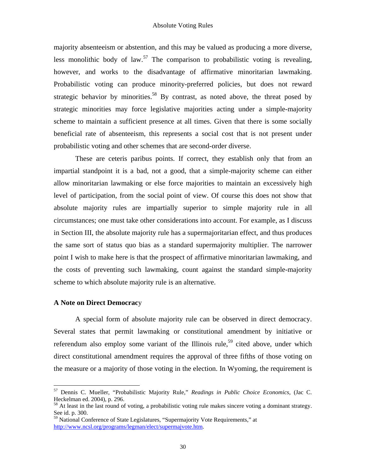majority absenteeism or abstention, and this may be valued as producing a more diverse, less monolithic body of law.<sup>57</sup> The comparison to probabilistic voting is revealing, however, and works to the disadvantage of affirmative minoritarian lawmaking. Probabilistic voting can produce minority-preferred policies, but does not reward strategic behavior by minorities.<sup>58</sup> By contrast, as noted above, the threat posed by strategic minorities may force legislative majorities acting under a simple-majority scheme to maintain a sufficient presence at all times. Given that there is some socially beneficial rate of absenteeism, this represents a social cost that is not present under probabilistic voting and other schemes that are second-order diverse.

 These are ceteris paribus points. If correct, they establish only that from an impartial standpoint it is a bad, not a good, that a simple-majority scheme can either allow minoritarian lawmaking or else force majorities to maintain an excessively high level of participation, from the social point of view. Of course this does not show that absolute majority rules are impartially superior to simple majority rule in all circumstances; one must take other considerations into account. For example, as I discuss in Section III, the absolute majority rule has a supermajoritarian effect, and thus produces the same sort of status quo bias as a standard supermajority multiplier. The narrower point I wish to make here is that the prospect of affirmative minoritarian lawmaking, and the costs of preventing such lawmaking, count against the standard simple-majority scheme to which absolute majority rule is an alternative.

#### **A Note on Direct Democrac**y

 $\overline{a}$ 

 A special form of absolute majority rule can be observed in direct democracy. Several states that permit lawmaking or constitutional amendment by initiative or referendum also employ some variant of the Illinois rule,<sup>59</sup> cited above, under which direct constitutional amendment requires the approval of three fifths of those voting on the measure or a majority of those voting in the election. In Wyoming, the requirement is

<sup>57</sup> Dennis C. Mueller, "Probabilistic Majority Rule," *Readings in Public Choice Economics*, (Jac C. Heckelman ed. 2004), p. 296.

<sup>&</sup>lt;sup>58</sup> At least in the last round of voting, a probabilistic voting rule makes sincere voting a dominant strategy. See id. p. 300.

<sup>&</sup>lt;sup>59</sup> National Conference of State Legislatures, "Supermajority Vote Requirements," at http://www.ncsl.org/programs/legman/elect/supermajvote.htm.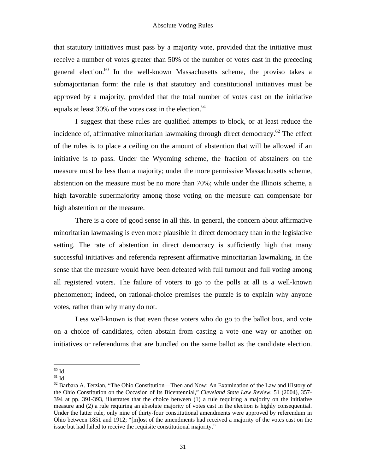that statutory initiatives must pass by a majority vote, provided that the initiative must receive a number of votes greater than 50% of the number of votes cast in the preceding general election.<sup>60</sup> In the well-known Massachusetts scheme, the proviso takes a submajoritarian form: the rule is that statutory and constitutional initiatives must be approved by a majority, provided that the total number of votes cast on the initiative equals at least 30% of the votes cast in the election.<sup>61</sup>

 I suggest that these rules are qualified attempts to block, or at least reduce the incidence of, affirmative minoritarian lawmaking through direct democracy.<sup>62</sup> The effect of the rules is to place a ceiling on the amount of abstention that will be allowed if an initiative is to pass. Under the Wyoming scheme, the fraction of abstainers on the measure must be less than a majority; under the more permissive Massachusetts scheme, abstention on the measure must be no more than 70%; while under the Illinois scheme, a high favorable supermajority among those voting on the measure can compensate for high abstention on the measure.

 There is a core of good sense in all this. In general, the concern about affirmative minoritarian lawmaking is even more plausible in direct democracy than in the legislative setting. The rate of abstention in direct democracy is sufficiently high that many successful initiatives and referenda represent affirmative minoritarian lawmaking, in the sense that the measure would have been defeated with full turnout and full voting among all registered voters. The failure of voters to go to the polls at all is a well-known phenomenon; indeed, on rational-choice premises the puzzle is to explain why anyone votes, rather than why many do not.

 Less well-known is that even those voters who do go to the ballot box, and vote on a choice of candidates, often abstain from casting a vote one way or another on initiatives or referendums that are bundled on the same ballot as the candidate election.

1

 $^{60}$  Id.

 $61$  Id.

<sup>62</sup> Barbara A. Terzian, "The Ohio Constitution—Then and Now: An Examination of the Law and History of the Ohio Constitution on the Occasion of Its Bicentennial," *Cleveland State Law Review*, 51 (2004), 357- 394 at pp. 391-393, illustrates that the choice between (1) a rule requiring a majority on the initiative measure and (2) a rule requiring an absolute majority of votes cast in the election is highly consequential. Under the latter rule, only nine of thirty-four constitutional amendments were approved by referendum in Ohio between 1851 and 1912; "[m]ost of the amendments had received a majority of the votes cast on the issue but had failed to receive the requisite constitutional majority."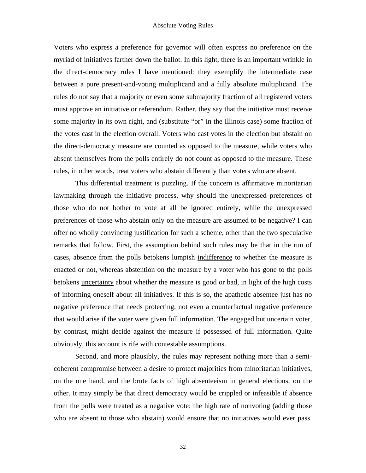Voters who express a preference for governor will often express no preference on the myriad of initiatives farther down the ballot. In this light, there is an important wrinkle in the direct-democracy rules I have mentioned: they exemplify the intermediate case between a pure present-and-voting multiplicand and a fully absolute multiplicand. The rules do not say that a majority or even some submajority fraction of all registered voters must approve an initiative or referendum. Rather, they say that the initiative must receive some majority in its own right, and (substitute "or" in the Illinois case) some fraction of the votes cast in the election overall. Voters who cast votes in the election but abstain on the direct-democracy measure are counted as opposed to the measure, while voters who absent themselves from the polls entirely do not count as opposed to the measure. These rules, in other words, treat voters who abstain differently than voters who are absent.

 This differential treatment is puzzling. If the concern is affirmative minoritarian lawmaking through the initiative process, why should the unexpressed preferences of those who do not bother to vote at all be ignored entirely, while the unexpressed preferences of those who abstain only on the measure are assumed to be negative? I can offer no wholly convincing justification for such a scheme, other than the two speculative remarks that follow. First, the assumption behind such rules may be that in the run of cases, absence from the polls betokens lumpish indifference to whether the measure is enacted or not, whereas abstention on the measure by a voter who has gone to the polls betokens uncertainty about whether the measure is good or bad, in light of the high costs of informing oneself about all initiatives. If this is so, the apathetic absentee just has no negative preference that needs protecting, not even a counterfactual negative preference that would arise if the voter were given full information. The engaged but uncertain voter, by contrast, might decide against the measure if possessed of full information. Quite obviously, this account is rife with contestable assumptions.

 Second, and more plausibly, the rules may represent nothing more than a semicoherent compromise between a desire to protect majorities from minoritarian initiatives, on the one hand, and the brute facts of high absenteeism in general elections, on the other. It may simply be that direct democracy would be crippled or infeasible if absence from the polls were treated as a negative vote; the high rate of nonvoting (adding those who are absent to those who abstain) would ensure that no initiatives would ever pass.

32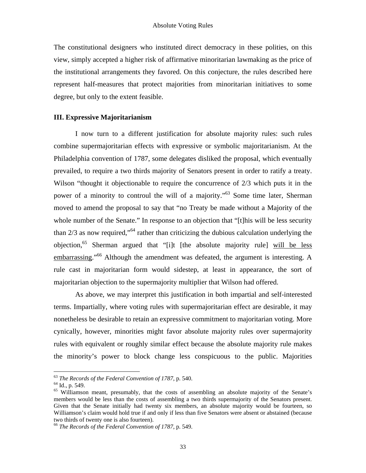The constitutional designers who instituted direct democracy in these polities, on this view, simply accepted a higher risk of affirmative minoritarian lawmaking as the price of the institutional arrangements they favored. On this conjecture, the rules described here represent half-measures that protect majorities from minoritarian initiatives to some degree, but only to the extent feasible.

#### **III. Expressive Majoritarianism**

 I now turn to a different justification for absolute majority rules: such rules combine supermajoritarian effects with expressive or symbolic majoritarianism. At the Philadelphia convention of 1787, some delegates disliked the proposal, which eventually prevailed, to require a two thirds majority of Senators present in order to ratify a treaty. Wilson "thought it objectionable to require the concurrence of 2/3 which puts it in the power of a minority to controul the will of a majority."<sup>63</sup> Some time later, Sherman moved to amend the proposal to say that "no Treaty be made without a Majority of the whole number of the Senate." In response to an objection that "[t]his will be less security than  $2/3$  as now required,"<sup>64</sup> rather than criticizing the dubious calculation underlying the objection,  $65$  Sherman argued that "[i]t [the absolute majority rule] will be less embarrassing."<sup>66</sup> Although the amendment was defeated, the argument is interesting. A rule cast in majoritarian form would sidestep, at least in appearance, the sort of majoritarian objection to the supermajority multiplier that Wilson had offered.

 As above, we may interpret this justification in both impartial and self-interested terms. Impartially, where voting rules with supermajoritarian effect are desirable, it may nonetheless be desirable to retain an expressive commitment to majoritarian voting. More cynically, however, minorities might favor absolute majority rules over supermajority rules with equivalent or roughly similar effect because the absolute majority rule makes the minority's power to block change less conspicuous to the public. Majorities

 $^{63}$  *The Records of the Federal Convention of 1787*, p. 540.  $^{64}$  Id., n. 549.

<sup>&</sup>lt;sup>65</sup> Williamson meant, presumably, that the costs of assembling an absolute majority of the Senate's members would be less than the costs of assembling a two thirds supermajority of the Senators present. Given that the Senate initially had twenty six members, an absolute majority would be fourteen, so Williamson's claim would hold true if and only if less than five Senators were absent or abstained (because two thirds of twenty one is also fourteen).

<sup>66</sup> *The Records of the Federal Convention of 1787*, p. 549.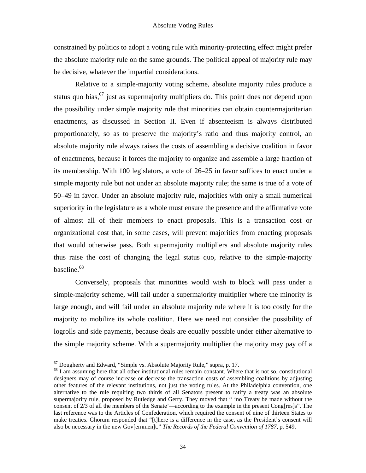constrained by politics to adopt a voting rule with minority-protecting effect might prefer the absolute majority rule on the same grounds. The political appeal of majority rule may be decisive, whatever the impartial considerations.

 Relative to a simple-majority voting scheme, absolute majority rules produce a status quo bias,  $\frac{67}{1}$  just as supermajority multipliers do. This point does not depend upon the possibility under simple majority rule that minorities can obtain countermajoritarian enactments, as discussed in Section II. Even if absenteeism is always distributed proportionately, so as to preserve the majority's ratio and thus majority control, an absolute majority rule always raises the costs of assembling a decisive coalition in favor of enactments, because it forces the majority to organize and assemble a large fraction of its membership. With 100 legislators, a vote of 26–25 in favor suffices to enact under a simple majority rule but not under an absolute majority rule; the same is true of a vote of 50–49 in favor. Under an absolute majority rule, majorities with only a small numerical superiority in the legislature as a whole must ensure the presence and the affirmative vote of almost all of their members to enact proposals. This is a transaction cost or organizational cost that, in some cases, will prevent majorities from enacting proposals that would otherwise pass. Both supermajority multipliers and absolute majority rules thus raise the cost of changing the legal status quo, relative to the simple-majority baseline.<sup>68</sup>

 Conversely, proposals that minorities would wish to block will pass under a simple-majority scheme, will fail under a supermajority multiplier where the minority is large enough, and will fail under an absolute majority rule where it is too costly for the majority to mobilize its whole coalition. Here we need not consider the possibility of logrolls and side payments, because deals are equally possible under either alternative to the simple majority scheme. With a supermajority multiplier the majority may pay off a

 $67$  Dougherty and Edward, "Simple vs. Absolute Majority Rule," supra, p. 17.

<sup>&</sup>lt;sup>68</sup> I am assuming here that all other institutional rules remain constant. Where that is not so, constitutional designers may of course increase or decrease the transaction costs of assembling coalitions by adjusting other features of the relevant institutions, not just the voting rules. At the Philadelphia convention, one alternative to the rule requiring two thirds of all Senators present to ratify a treaty was an absolute supermajority rule, proposed by Rutledge and Gerry. They moved that " 'no Treaty be made without the consent of 2/3 of all the members of the Senate'—according to the example in the present Cong[res]s". The last reference was to the Articles of Confederation, which required the consent of nine of thirteen States to make treaties. Ghorum responded that "[t]here is a difference in the case, as the President's consent will also be necessary in the new Gov[ernmen]t." *The Records of the Federal Convention of 1787*, p. 549.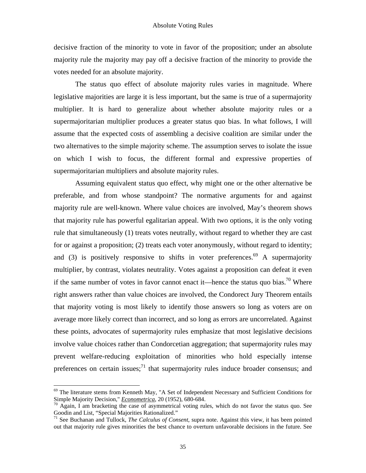decisive fraction of the minority to vote in favor of the proposition; under an absolute majority rule the majority may pay off a decisive fraction of the minority to provide the votes needed for an absolute majority.

 The status quo effect of absolute majority rules varies in magnitude. Where legislative majorities are large it is less important, but the same is true of a supermajority multiplier. It is hard to generalize about whether absolute majority rules or a supermajoritarian multiplier produces a greater status quo bias. In what follows, I will assume that the expected costs of assembling a decisive coalition are similar under the two alternatives to the simple majority scheme. The assumption serves to isolate the issue on which I wish to focus, the different formal and expressive properties of supermajoritarian multipliers and absolute majority rules.

 Assuming equivalent status quo effect, why might one or the other alternative be preferable, and from whose standpoint? The normative arguments for and against majority rule are well-known. Where value choices are involved, May's theorem shows that majority rule has powerful egalitarian appeal. With two options, it is the only voting rule that simultaneously (1) treats votes neutrally, without regard to whether they are cast for or against a proposition; (2) treats each voter anonymously, without regard to identity; and (3) is positively responsive to shifts in voter preferences.<sup>69</sup> A supermajority multiplier, by contrast, violates neutrality. Votes against a proposition can defeat it even if the same number of votes in favor cannot enact it—hence the status quo bias.<sup>70</sup> Where right answers rather than value choices are involved, the Condorect Jury Theorem entails that majority voting is most likely to identify those answers so long as voters are on average more likely correct than incorrect, and so long as errors are uncorrelated. Against these points, advocates of supermajority rules emphasize that most legislative decisions involve value choices rather than Condorcetian aggregation; that supermajority rules may prevent welfare-reducing exploitation of minorities who hold especially intense preferences on certain issues; $^{71}$  that supermajority rules induce broader consensus; and

 $69$  The literature stems from Kenneth May, "A Set of Independent Necessary and Sufficient Conditions for Simple Majority Decision," *Econometrica*, 20 (1952), 680-684.<br><sup>70</sup> Again, I am bracketing the case of asymmetrical voting rules, which do not favor the status quo. See

Goodin and List, "Special Majorities Rationalized."

<sup>71</sup> See Buchanan and Tullock, *The Calculus of Consent*, supra note. Against this view, it has been pointed out that majority rule gives minorities the best chance to overturn unfavorable decisions in the future. See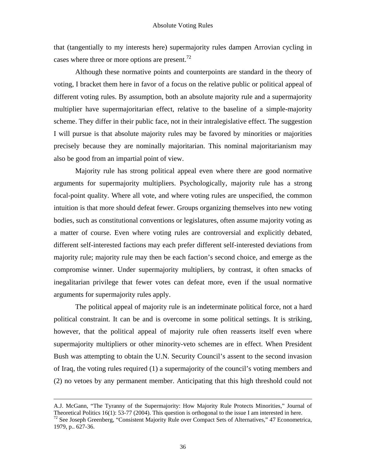that (tangentially to my interests here) supermajority rules dampen Arrovian cycling in cases where three or more options are present.<sup>72</sup>

 Although these normative points and counterpoints are standard in the theory of voting, I bracket them here in favor of a focus on the relative public or political appeal of different voting rules. By assumption, both an absolute majority rule and a supermajority multiplier have supermajoritarian effect, relative to the baseline of a simple-majority scheme. They differ in their public face, not in their intralegislative effect. The suggestion I will pursue is that absolute majority rules may be favored by minorities or majorities precisely because they are nominally majoritarian. This nominal majoritarianism may also be good from an impartial point of view.

 Majority rule has strong political appeal even where there are good normative arguments for supermajority multipliers. Psychologically, majority rule has a strong focal-point quality. Where all vote, and where voting rules are unspecified, the common intuition is that more should defeat fewer. Groups organizing themselves into new voting bodies, such as constitutional conventions or legislatures, often assume majority voting as a matter of course. Even where voting rules are controversial and explicitly debated, different self-interested factions may each prefer different self-interested deviations from majority rule; majority rule may then be each faction's second choice, and emerge as the compromise winner. Under supermajority multipliers, by contrast, it often smacks of inegalitarian privilege that fewer votes can defeat more, even if the usual normative arguments for supermajority rules apply.

 The political appeal of majority rule is an indeterminate political force, not a hard political constraint. It can be and is overcome in some political settings. It is striking, however, that the political appeal of majority rule often reasserts itself even where supermajority multipliers or other minority-veto schemes are in effect. When President Bush was attempting to obtain the U.N. Security Council's assent to the second invasion of Iraq, the voting rules required (1) a supermajority of the council's voting members and (2) no vetoes by any permanent member. Anticipating that this high threshold could not

A.J. McGann, "The Tyranny of the Supermajority: How Majority Rule Protects Minorities," Journal of Theoretical Politics 16(1): 53-77 (2004). This question is orthogonal to the issue I am interested in here. 72 See Joseph Greenberg, "Consistent Majority Rule over Compact Sets of Alternatives," 47 Econometrica, 1979, p.. 627-36.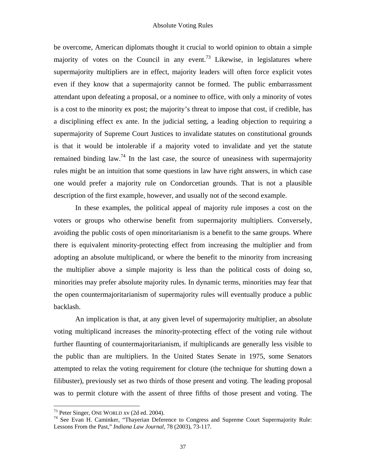be overcome, American diplomats thought it crucial to world opinion to obtain a simple majority of votes on the Council in any event.<sup>73</sup> Likewise, in legislatures where supermajority multipliers are in effect, majority leaders will often force explicit votes even if they know that a supermajority cannot be formed. The public embarrassment attendant upon defeating a proposal, or a nominee to office, with only a minority of votes is a cost to the minority ex post; the majority's threat to impose that cost, if credible, has a disciplining effect ex ante. In the judicial setting, a leading objection to requiring a supermajority of Supreme Court Justices to invalidate statutes on constitutional grounds is that it would be intolerable if a majority voted to invalidate and yet the statute remained binding law.<sup>74</sup> In the last case, the source of uneasiness with supermajority rules might be an intuition that some questions in law have right answers, in which case one would prefer a majority rule on Condorcetian grounds. That is not a plausible description of the first example, however, and usually not of the second example.

 In these examples, the political appeal of majority rule imposes a cost on the voters or groups who otherwise benefit from supermajority multipliers. Conversely, avoiding the public costs of open minoritarianism is a benefit to the same groups. Where there is equivalent minority-protecting effect from increasing the multiplier and from adopting an absolute multiplicand, or where the benefit to the minority from increasing the multiplier above a simple majority is less than the political costs of doing so, minorities may prefer absolute majority rules. In dynamic terms, minorities may fear that the open countermajoritarianism of supermajority rules will eventually produce a public backlash.

 An implication is that, at any given level of supermajority multiplier, an absolute voting multiplicand increases the minority-protecting effect of the voting rule without further flaunting of countermajoritarianism, if multiplicands are generally less visible to the public than are multipliers. In the United States Senate in 1975, some Senators attempted to relax the voting requirement for cloture (the technique for shutting down a filibuster), previously set as two thirds of those present and voting. The leading proposal was to permit cloture with the assent of three fifths of those present and voting. The

<sup>&</sup>lt;sup>73</sup> Peter Singer, ONE WORLD xv (2d ed. 2004).<br><sup>74</sup> See Evan H. Caminker, "Thayerian Deference to Congress and Supreme Court Supermajority Rule: Lessons From the Past," *Indiana Law Journal*, 78 (2003), 73-117.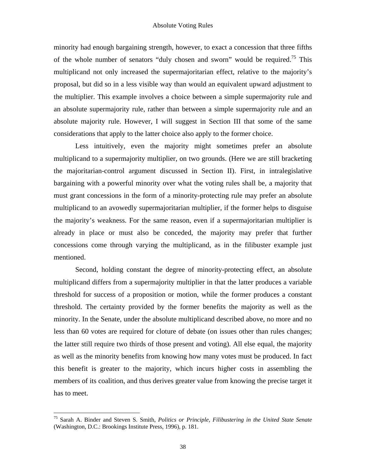minority had enough bargaining strength, however, to exact a concession that three fifths of the whole number of senators "duly chosen and sworn" would be required.<sup>75</sup> This multiplicand not only increased the supermajoritarian effect, relative to the majority's proposal, but did so in a less visible way than would an equivalent upward adjustment to the multiplier. This example involves a choice between a simple supermajority rule and an absolute supermajority rule, rather than between a simple supermajority rule and an absolute majority rule. However, I will suggest in Section III that some of the same considerations that apply to the latter choice also apply to the former choice.

 Less intuitively, even the majority might sometimes prefer an absolute multiplicand to a supermajority multiplier, on two grounds. (Here we are still bracketing the majoritarian-control argument discussed in Section II). First, in intralegislative bargaining with a powerful minority over what the voting rules shall be, a majority that must grant concessions in the form of a minority-protecting rule may prefer an absolute multiplicand to an avowedly supermajoritarian multiplier, if the former helps to disguise the majority's weakness. For the same reason, even if a supermajoritarian multiplier is already in place or must also be conceded, the majority may prefer that further concessions come through varying the multiplicand, as in the filibuster example just mentioned.

 Second, holding constant the degree of minority-protecting effect, an absolute multiplicand differs from a supermajority multiplier in that the latter produces a variable threshold for success of a proposition or motion, while the former produces a constant threshold. The certainty provided by the former benefits the majority as well as the minority. In the Senate, under the absolute multiplicand described above, no more and no less than 60 votes are required for cloture of debate (on issues other than rules changes; the latter still require two thirds of those present and voting). All else equal, the majority as well as the minority benefits from knowing how many votes must be produced. In fact this benefit is greater to the majority, which incurs higher costs in assembling the members of its coalition, and thus derives greater value from knowing the precise target it has to meet.

1

<sup>75</sup> Sarah A. Binder and Steven S. Smith, *Politics or Principle, Filibustering in the United State Senate* (Washington, D.C.: Brookings Institute Press, 1996), p. 181.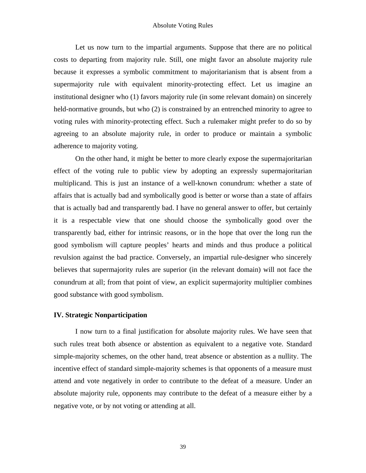Let us now turn to the impartial arguments. Suppose that there are no political costs to departing from majority rule. Still, one might favor an absolute majority rule because it expresses a symbolic commitment to majoritarianism that is absent from a supermajority rule with equivalent minority-protecting effect. Let us imagine an institutional designer who (1) favors majority rule (in some relevant domain) on sincerely held-normative grounds, but who (2) is constrained by an entrenched minority to agree to voting rules with minority-protecting effect. Such a rulemaker might prefer to do so by agreeing to an absolute majority rule, in order to produce or maintain a symbolic adherence to majority voting.

 On the other hand, it might be better to more clearly expose the supermajoritarian effect of the voting rule to public view by adopting an expressly supermajoritarian multiplicand. This is just an instance of a well-known conundrum: whether a state of affairs that is actually bad and symbolically good is better or worse than a state of affairs that is actually bad and transparently bad. I have no general answer to offer, but certainly it is a respectable view that one should choose the symbolically good over the transparently bad, either for intrinsic reasons, or in the hope that over the long run the good symbolism will capture peoples' hearts and minds and thus produce a political revulsion against the bad practice. Conversely, an impartial rule-designer who sincerely believes that supermajority rules are superior (in the relevant domain) will not face the conundrum at all; from that point of view, an explicit supermajority multiplier combines good substance with good symbolism.

#### **IV. Strategic Nonparticipation**

 I now turn to a final justification for absolute majority rules. We have seen that such rules treat both absence or abstention as equivalent to a negative vote. Standard simple-majority schemes, on the other hand, treat absence or abstention as a nullity. The incentive effect of standard simple-majority schemes is that opponents of a measure must attend and vote negatively in order to contribute to the defeat of a measure. Under an absolute majority rule, opponents may contribute to the defeat of a measure either by a negative vote, or by not voting or attending at all.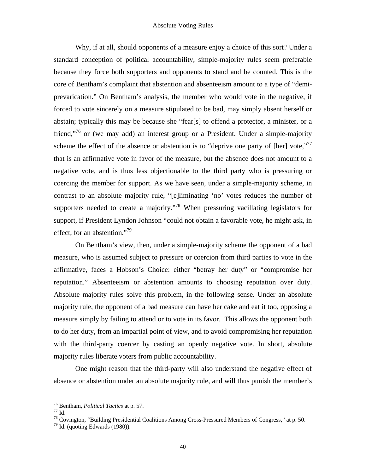Why, if at all, should opponents of a measure enjoy a choice of this sort? Under a standard conception of political accountability, simple-majority rules seem preferable because they force both supporters and opponents to stand and be counted. This is the core of Bentham's complaint that abstention and absenteeism amount to a type of "demiprevarication." On Bentham's analysis, the member who would vote in the negative, if forced to vote sincerely on a measure stipulated to be bad, may simply absent herself or abstain; typically this may be because she "fear[s] to offend a protector, a minister, or a friend, $n^{76}$  or (we may add) an interest group or a President. Under a simple-majority scheme the effect of the absence or abstention is to "deprive one party of [her] vote,"<sup>77</sup> that is an affirmative vote in favor of the measure, but the absence does not amount to a negative vote, and is thus less objectionable to the third party who is pressuring or coercing the member for support. As we have seen, under a simple-majority scheme, in contrast to an absolute majority rule, "[e]liminating 'no' votes reduces the number of supporters needed to create a majority.<sup> $78$ </sup> When pressuring vacillating legislators for support, if President Lyndon Johnson "could not obtain a favorable vote, he might ask, in effect, for an abstention."<sup>79</sup>

 On Bentham's view, then, under a simple-majority scheme the opponent of a bad measure, who is assumed subject to pressure or coercion from third parties to vote in the affirmative, faces a Hobson's Choice: either "betray her duty" or "compromise her reputation." Absenteeism or abstention amounts to choosing reputation over duty. Absolute majority rules solve this problem, in the following sense. Under an absolute majority rule, the opponent of a bad measure can have her cake and eat it too, opposing a measure simply by failing to attend or to vote in its favor. This allows the opponent both to do her duty, from an impartial point of view, and to avoid compromising her reputation with the third-party coercer by casting an openly negative vote. In short, absolute majority rules liberate voters from public accountability.

 One might reason that the third-party will also understand the negative effect of absence or abstention under an absolute majority rule, and will thus punish the member's

<sup>76</sup> Bentham, *Political Tactics* at p. 57. 77 Id.

<sup>&</sup>lt;sup>78</sup> Covington, "Building Presidential Coalitions Among Cross-Pressured Members of Congress," at p. 50. <sup>79</sup> Id. (quoting Edwards (1980)).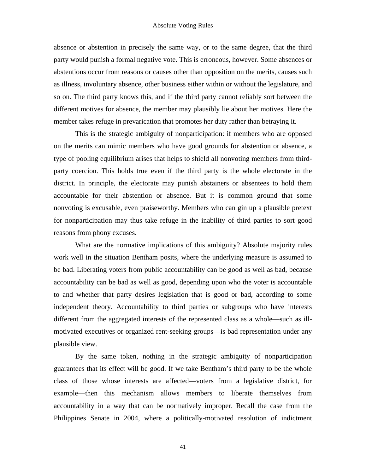absence or abstention in precisely the same way, or to the same degree, that the third party would punish a formal negative vote. This is erroneous, however. Some absences or abstentions occur from reasons or causes other than opposition on the merits, causes such as illness, involuntary absence, other business either within or without the legislature, and so on. The third party knows this, and if the third party cannot reliably sort between the different motives for absence, the member may plausibly lie about her motives. Here the member takes refuge in prevarication that promotes her duty rather than betraying it.

 This is the strategic ambiguity of nonparticipation: if members who are opposed on the merits can mimic members who have good grounds for abstention or absence, a type of pooling equilibrium arises that helps to shield all nonvoting members from thirdparty coercion. This holds true even if the third party is the whole electorate in the district. In principle, the electorate may punish abstainers or absentees to hold them accountable for their abstention or absence. But it is common ground that some nonvoting is excusable, even praiseworthy. Members who can gin up a plausible pretext for nonparticipation may thus take refuge in the inability of third parties to sort good reasons from phony excuses.

 What are the normative implications of this ambiguity? Absolute majority rules work well in the situation Bentham posits, where the underlying measure is assumed to be bad. Liberating voters from public accountability can be good as well as bad, because accountability can be bad as well as good, depending upon who the voter is accountable to and whether that party desires legislation that is good or bad, according to some independent theory. Accountability to third parties or subgroups who have interests different from the aggregated interests of the represented class as a whole—such as illmotivated executives or organized rent-seeking groups—is bad representation under any plausible view.

 By the same token, nothing in the strategic ambiguity of nonparticipation guarantees that its effect will be good. If we take Bentham's third party to be the whole class of those whose interests are affected—voters from a legislative district, for example—then this mechanism allows members to liberate themselves from accountability in a way that can be normatively improper. Recall the case from the Philippines Senate in 2004, where a politically-motivated resolution of indictment

41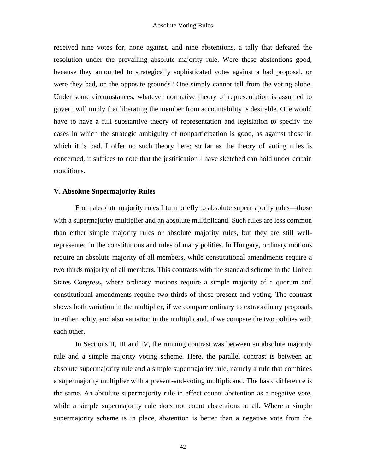received nine votes for, none against, and nine abstentions, a tally that defeated the resolution under the prevailing absolute majority rule. Were these abstentions good, because they amounted to strategically sophisticated votes against a bad proposal, or were they bad, on the opposite grounds? One simply cannot tell from the voting alone. Under some circumstances, whatever normative theory of representation is assumed to govern will imply that liberating the member from accountability is desirable. One would have to have a full substantive theory of representation and legislation to specify the cases in which the strategic ambiguity of nonparticipation is good, as against those in which it is bad. I offer no such theory here; so far as the theory of voting rules is concerned, it suffices to note that the justification I have sketched can hold under certain conditions.

#### **V. Absolute Supermajority Rules**

 From absolute majority rules I turn briefly to absolute supermajority rules—those with a supermajority multiplier and an absolute multiplicand. Such rules are less common than either simple majority rules or absolute majority rules, but they are still wellrepresented in the constitutions and rules of many polities. In Hungary, ordinary motions require an absolute majority of all members, while constitutional amendments require a two thirds majority of all members. This contrasts with the standard scheme in the United States Congress, where ordinary motions require a simple majority of a quorum and constitutional amendments require two thirds of those present and voting. The contrast shows both variation in the multiplier, if we compare ordinary to extraordinary proposals in either polity, and also variation in the multiplicand, if we compare the two polities with each other.

 In Sections II, III and IV, the running contrast was between an absolute majority rule and a simple majority voting scheme. Here, the parallel contrast is between an absolute supermajority rule and a simple supermajority rule, namely a rule that combines a supermajority multiplier with a present-and-voting multiplicand. The basic difference is the same. An absolute supermajority rule in effect counts abstention as a negative vote, while a simple supermajority rule does not count abstentions at all. Where a simple supermajority scheme is in place, abstention is better than a negative vote from the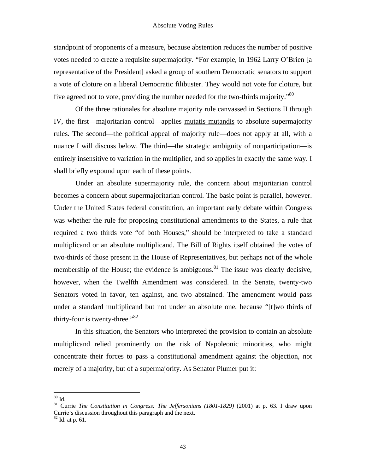standpoint of proponents of a measure, because abstention reduces the number of positive votes needed to create a requisite supermajority. "For example, in 1962 Larry O'Brien [a representative of the President] asked a group of southern Democratic senators to support a vote of cloture on a liberal Democratic filibuster. They would not vote for cloture, but five agreed not to vote, providing the number needed for the two-thirds majority.<sup>80</sup>

 Of the three rationales for absolute majority rule canvassed in Sections II through IV, the first—majoritarian control—applies mutatis mutandis to absolute supermajority rules. The second—the political appeal of majority rule—does not apply at all, with a nuance I will discuss below. The third—the strategic ambiguity of nonparticipation—is entirely insensitive to variation in the multiplier, and so applies in exactly the same way. I shall briefly expound upon each of these points.

 Under an absolute supermajority rule, the concern about majoritarian control becomes a concern about supermajoritarian control. The basic point is parallel, however. Under the United States federal constitution, an important early debate within Congress was whether the rule for proposing constitutional amendments to the States, a rule that required a two thirds vote "of both Houses," should be interpreted to take a standard multiplicand or an absolute multiplicand. The Bill of Rights itself obtained the votes of two-thirds of those present in the House of Representatives, but perhaps not of the whole membership of the House; the evidence is ambiguous. $81$  The issue was clearly decisive, however, when the Twelfth Amendment was considered. In the Senate, twenty-two Senators voted in favor, ten against, and two abstained. The amendment would pass under a standard multiplicand but not under an absolute one, because "[t]wo thirds of thirty-four is twenty-three." $82$ 

 In this situation, the Senators who interpreted the provision to contain an absolute multiplicand relied prominently on the risk of Napoleonic minorities, who might concentrate their forces to pass a constitutional amendment against the objection, not merely of a majority, but of a supermajority. As Senator Plumer put it:

1

 $80$  Id.

<sup>81</sup> Currie *The Constitution in Congress: The Jeffersonians (1801-1829)* (2001) at p. 63. I draw upon Currie's discussion throughout this paragraph and the next.

<sup>82</sup> Id. at p. 61.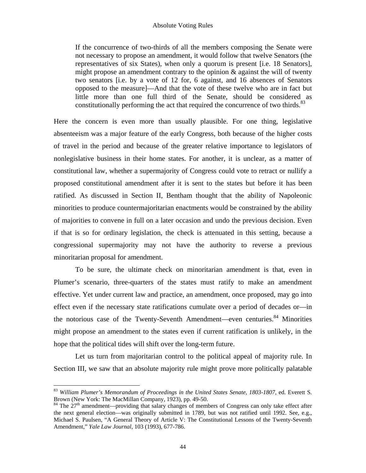If the concurrence of two-thirds of all the members composing the Senate were not necessary to propose an amendment, it would follow that twelve Senators (the representatives of six States), when only a quorum is present [i.e. 18 Senators], might propose an amendment contrary to the opinion  $\&$  against the will of twenty two senators [i.e. by a vote of 12 for, 6 against, and 16 absences of Senators opposed to the measure]—And that the vote of these twelve who are in fact but little more than one full third of the Senate, should be considered as constitutionally performing the act that required the concurrence of two thirds.<sup>83</sup>

Here the concern is even more than usually plausible. For one thing, legislative absenteeism was a major feature of the early Congress, both because of the higher costs of travel in the period and because of the greater relative importance to legislators of nonlegislative business in their home states. For another, it is unclear, as a matter of constitutional law, whether a supermajority of Congress could vote to retract or nullify a proposed constitutional amendment after it is sent to the states but before it has been ratified. As discussed in Section II, Bentham thought that the ability of Napoleonic minorities to produce countermajoritarian enactments would be constrained by the ability of majorities to convene in full on a later occasion and undo the previous decision. Even if that is so for ordinary legislation, the check is attenuated in this setting, because a congressional supermajority may not have the authority to reverse a previous minoritarian proposal for amendment.

 To be sure, the ultimate check on minoritarian amendment is that, even in Plumer's scenario, three-quarters of the states must ratify to make an amendment effective. Yet under current law and practice, an amendment, once proposed, may go into effect even if the necessary state ratifications cumulate over a period of decades or—in the notorious case of the Twenty-Seventh Amendment—even centuries. $84$  Minorities might propose an amendment to the states even if current ratification is unlikely, in the hope that the political tides will shift over the long-term future.

 Let us turn from majoritarian control to the political appeal of majority rule. In Section III, we saw that an absolute majority rule might prove more politically palatable

<sup>83</sup> *William Plumer's Memorandum of Proceedings in the United States Senate, 1803-1807*, ed. Everett S. Brown (New York: The MacMillan Company, 1923), pp. 49-50.<br><sup>84</sup> The  $27<sup>th</sup>$  amendment—providing that salary changes of members of Congress can only take effect after

the next general election—was originally submitted in 1789, but was not ratified until 1992. See, e.g., Michael S. Paulsen, "A General Theory of Article V: The Constitutional Lessons of the Twenty-Seventh Amendment," *Yale Law Journal*, 103 (1993), 677-786.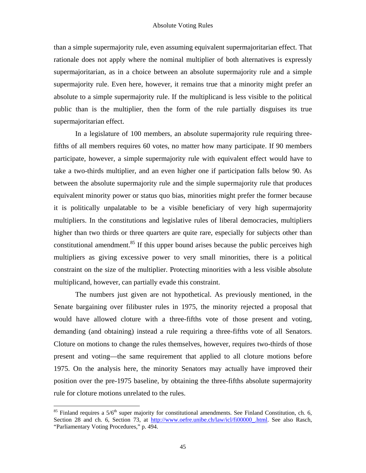than a simple supermajority rule, even assuming equivalent supermajoritarian effect. That rationale does not apply where the nominal multiplier of both alternatives is expressly supermajoritarian, as in a choice between an absolute supermajority rule and a simple supermajority rule. Even here, however, it remains true that a minority might prefer an absolute to a simple supermajority rule. If the multiplicand is less visible to the political public than is the multiplier, then the form of the rule partially disguises its true supermajoritarian effect.

 In a legislature of 100 members, an absolute supermajority rule requiring threefifths of all members requires 60 votes, no matter how many participate. If 90 members participate, however, a simple supermajority rule with equivalent effect would have to take a two-thirds multiplier, and an even higher one if participation falls below 90. As between the absolute supermajority rule and the simple supermajority rule that produces equivalent minority power or status quo bias, minorities might prefer the former because it is politically unpalatable to be a visible beneficiary of very high supermajority multipliers. In the constitutions and legislative rules of liberal democracies, multipliers higher than two thirds or three quarters are quite rare, especially for subjects other than constitutional amendment.<sup>85</sup> If this upper bound arises because the public perceives high multipliers as giving excessive power to very small minorities, there is a political constraint on the size of the multiplier. Protecting minorities with a less visible absolute multiplicand, however, can partially evade this constraint.

 The numbers just given are not hypothetical. As previously mentioned, in the Senate bargaining over filibuster rules in 1975, the minority rejected a proposal that would have allowed cloture with a three-fifths vote of those present and voting, demanding (and obtaining) instead a rule requiring a three-fifths vote of all Senators. Cloture on motions to change the rules themselves, however, requires two-thirds of those present and voting—the same requirement that applied to all cloture motions before 1975. On the analysis here, the minority Senators may actually have improved their position over the pre-1975 baseline, by obtaining the three-fifths absolute supermajority rule for cloture motions unrelated to the rules.

 $85$  Finland requires a  $5/6<sup>th</sup>$  super majority for constitutional amendments. See Finland Constitution, ch. 6, Section 28 and ch. 6, Section 73, at http://www.oefre.unibe.ch/law/icl/fi00000\_.html. See also Rasch, "Parliamentary Voting Procedures," p. 494.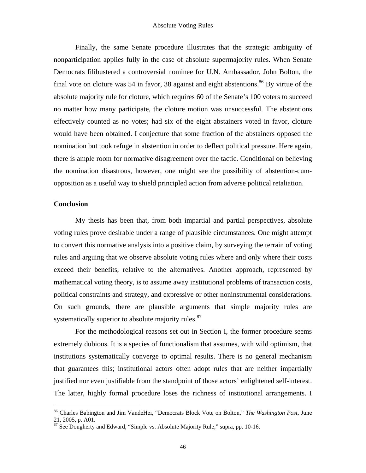Finally, the same Senate procedure illustrates that the strategic ambiguity of nonparticipation applies fully in the case of absolute supermajority rules. When Senate Democrats filibustered a controversial nominee for U.N. Ambassador, John Bolton, the final vote on cloture was 54 in favor, 38 against and eight abstentions.<sup>86</sup> By virtue of the absolute majority rule for cloture, which requires 60 of the Senate's 100 voters to succeed no matter how many participate, the cloture motion was unsuccessful. The abstentions effectively counted as no votes; had six of the eight abstainers voted in favor, cloture would have been obtained. I conjecture that some fraction of the abstainers opposed the nomination but took refuge in abstention in order to deflect political pressure. Here again, there is ample room for normative disagreement over the tactic. Conditional on believing the nomination disastrous, however, one might see the possibility of abstention-cumopposition as a useful way to shield principled action from adverse political retaliation.

#### **Conclusion**

1

 My thesis has been that, from both impartial and partial perspectives, absolute voting rules prove desirable under a range of plausible circumstances. One might attempt to convert this normative analysis into a positive claim, by surveying the terrain of voting rules and arguing that we observe absolute voting rules where and only where their costs exceed their benefits, relative to the alternatives. Another approach, represented by mathematical voting theory, is to assume away institutional problems of transaction costs, political constraints and strategy, and expressive or other noninstrumental considerations. On such grounds, there are plausible arguments that simple majority rules are systematically superior to absolute majority rules.<sup>87</sup>

 For the methodological reasons set out in Section I, the former procedure seems extremely dubious. It is a species of functionalism that assumes, with wild optimism, that institutions systematically converge to optimal results. There is no general mechanism that guarantees this; institutional actors often adopt rules that are neither impartially justified nor even justifiable from the standpoint of those actors' enlightened self-interest. The latter, highly formal procedure loses the richness of institutional arrangements. I

<sup>86</sup> Charles Babington and Jim VandeHei, "Democrats Block Vote on Bolton," *The Washington Post*, June 21, 2005, p. A01.

 $87$  See Dougherty and Edward, "Simple vs. Absolute Majority Rule," supra, pp. 10-16.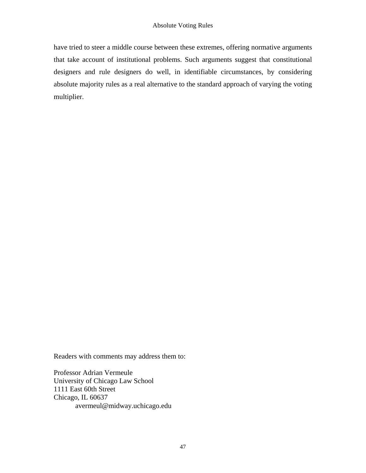have tried to steer a middle course between these extremes, offering normative arguments that take account of institutional problems. Such arguments suggest that constitutional designers and rule designers do well, in identifiable circumstances, by considering absolute majority rules as a real alternative to the standard approach of varying the voting multiplier.

Readers with comments may address them to:

Professor Adrian Vermeule University of Chicago Law School 1111 East 60th Street Chicago, IL 60637 avermeul@midway.uchicago.edu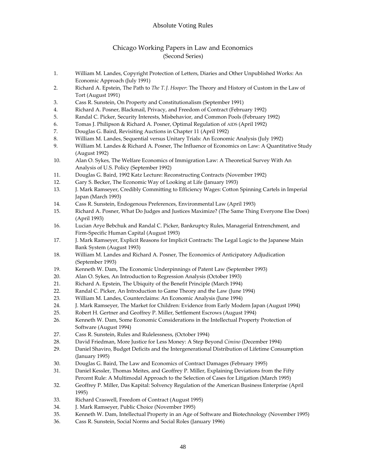#### Chicago Working Papers in Law and Economics (Second Series)

- 1. William M. Landes, Copyright Protection of Letters, Diaries and Other Unpublished Works: An Economic Approach (July 1991)
- 2. Richard A. Epstein, The Path to *The T.J. Hooper*: The Theory and History of Custom in the Law of Tort (August 1991)
- 3. Cass R. Sunstein, On Property and Constitutionalism (September 1991)
- 4. Richard A. Posner, Blackmail, Privacy, and Freedom of Contract (February 1992)
- 5. Randal C. Picker, Security Interests, Misbehavior, and Common Pools (February 1992)
- 6. Tomas J. Philipson & Richard A. Posner, Optimal Regulation of AIDS (April 1992)
- 7. Douglas G. Baird, Revisiting Auctions in Chapter 11 (April 1992)
- 8. William M. Landes, Sequential versus Unitary Trials: An Economic Analysis (July 1992)
- 9. William M. Landes & Richard A. Posner, The Influence of Economics on Law: A Quantitative Study (August 1992)
- 10. Alan O. Sykes, The Welfare Economics of Immigration Law: A Theoretical Survey With An Analysis of U.S. Policy (September 1992)
- 11. Douglas G. Baird, 1992 Katz Lecture: Reconstructing Contracts (November 1992)
- 12. Gary S. Becker, The Economic Way of Looking at Life (January 1993)
- 13. J. Mark Ramseyer, Credibly Committing to Efficiency Wages: Cotton Spinning Cartels in Imperial Japan (March 1993)
- 14. Cass R. Sunstein, Endogenous Preferences, Environmental Law (April 1993)
- 15. Richard A. Posner, What Do Judges and Justices Maximize? (The Same Thing Everyone Else Does) (April 1993)
- 16. Lucian Arye Bebchuk and Randal C. Picker, Bankruptcy Rules, Managerial Entrenchment, and Firm‐Specific Human Capital (August 1993)
- 17. J. Mark Ramseyer, Explicit Reasons for Implicit Contracts: The Legal Logic to the Japanese Main Bank System (August 1993)
- 18. William M. Landes and Richard A. Posner, The Economics of Anticipatory Adjudication (September 1993)
- 19. Kenneth W. Dam, The Economic Underpinnings of Patent Law (September 1993)
- 20. Alan O. Sykes, An Introduction to Regression Analysis (October 1993)
- 21. Richard A. Epstein, The Ubiquity of the Benefit Principle (March 1994)
- 22. Randal C. Picker, An Introduction to Game Theory and the Law (June 1994)
- 23. William M. Landes, Counterclaims: An Economic Analysis (June 1994)
- 24. J. Mark Ramseyer, The Market for Children: Evidence from Early Modern Japan (August 1994)
- 25. Robert H. Gertner and Geoffrey P. Miller, Settlement Escrows (August 1994)
- 26. Kenneth W. Dam, Some Economic Considerations in the Intellectual Property Protection of Software (August 1994)
- 27. Cass R. Sunstein, Rules and Rulelessness, (October 1994)
- 28. David Friedman, More Justice for Less Money: A Step Beyond *Cimino* (December 1994)
- 29. Daniel Shaviro, Budget Deficits and the Intergenerational Distribution of Lifetime Consumption (January 1995)
- 30. Douglas G. Baird, The Law and Economics of Contract Damages (February 1995)
- 31. Daniel Kessler, Thomas Meites, and Geoffrey P. Miller, Explaining Deviations from the Fifty Percent Rule: A Multimodal Approach to the Selection of Cases for Litigation (March 1995)
- 32. Geoffrey P. Miller, Das Kapital: Solvency Regulation of the American Business Enterprise (April 1995)
- 33. Richard Craswell, Freedom of Contract (August 1995)
- 34. J. Mark Ramseyer, Public Choice (November 1995)
- 35. Kenneth W. Dam, Intellectual Property in an Age of Software and Biotechnology (November 1995)
- 36. Cass R. Sunstein, Social Norms and Social Roles (January 1996)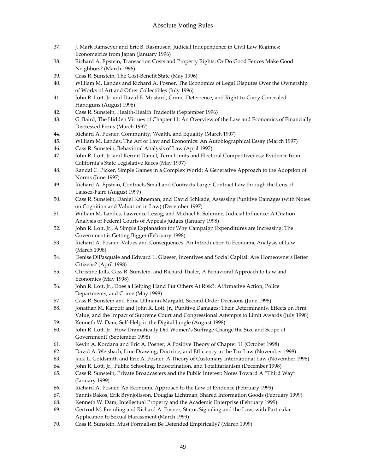- 37. J. Mark Ramseyer and Eric B. Rasmusen, Judicial Independence in Civil Law Regimes: Econometrics from Japan (January 1996)
- 38. Richard A. Epstein, Transaction Costs and Property Rights: Or Do Good Fences Make Good Neighbors? (March 1996)
- 39. Cass R. Sunstein, The Cost‐Benefit State (May 1996)
- 40. William M. Landes and Richard A. Posner, The Economics of Legal Disputes Over the Ownership of Works of Art and Other Collectibles (July 1996)
- 41. John R. Lott, Jr. and David B. Mustard, Crime, Deterrence, and Right-to-Carry Concealed Handguns (August 1996)
- 42. Cass R. Sunstein, Health‐Health Tradeoffs (September 1996)
- 43. G. Baird, The Hidden Virtues of Chapter 11: An Overview of the Law and Economics of Financially Distressed Firms (March 1997)
- 44. Richard A. Posner, Community, Wealth, and Equality (March 1997)
- 45. William M. Landes, The Art of Law and Economics: An Autobiographical Essay (March 1997)
- 46. Cass R. Sunstein, Behavioral Analysis of Law (April 1997)
- 47. John R. Lott, Jr. and Kermit Daniel, Term Limits and Electoral Competitiveness: Evidence from California's State Legislative Races (May 1997)
- 48. Randal C. Picker, Simple Games in a Complex World: A Generative Approach to the Adoption of Norms (June 1997)
- 49. Richard A. Epstein, Contracts Small and Contracts Large: Contract Law through the Lens of Laissez‐Faire (August 1997)
- 50. Cass R. Sunstein, Daniel Kahneman, and David Schkade, Assessing Punitive Damages (with Notes on Cognition and Valuation in Law) (December 1997)
- 51. William M. Landes, Lawrence Lessig, and Michael E. Solimine, Judicial Influence: A Citation Analysis of Federal Courts of Appeals Judges (January 1998)
- 52. John R. Lott, Jr., A Simple Explanation for Why Campaign Expenditures are Increasing: The Government is Getting Bigger (February 1998)
- 53. Richard A. Posner, Values and Consequences: An Introduction to Economic Analysis of Law (March 1998)
- 54. Denise DiPasquale and Edward L. Glaeser, Incentives and Social Capital: Are Homeowners Better Citizens? (April 1998)
- 55. Christine Jolls, Cass R. Sunstein, and Richard Thaler, A Behavioral Approach to Law and Economics (May 1998)
- 56. John R. Lott, Jr., Does a Helping Hand Put Others At Risk?: Affirmative Action, Police Departments, and Crime (May 1998)
- 57. Cass R. Sunstein and Edna Ullmann‐Margalit, Second‐Order Decisions (June 1998)
- 58. Jonathan M. Karpoff and John R. Lott, Jr., Punitive Damages: Their Determinants, Effects on Firm Value, and the Impact of Supreme Court and Congressional Attempts to Limit Awards (July 1998)
- 59. Kenneth W. Dam, Self-Help in the Digital Jungle (August 1998)
- 60. John R. Lott, Jr., How Dramatically Did Women's Suffrage Change the Size and Scope of Government? (September 1998)
- 61. Kevin A. Kordana and Eric A. Posner, A Positive Theory of Chapter 11 (October 1998)
- 62. David A. Weisbach, Line Drawing, Doctrine, and Efficiency in the Tax Law (November 1998)
- 63. Jack L. Goldsmith and Eric A. Posner, A Theory of Customary International Law (November 1998)
- 64. John R. Lott, Jr., Public Schooling, Indoctrination, and Totalitarianism (December 1998)
- 65. Cass R. Sunstein, Private Broadcasters and the Public Interest: Notes Toward A "Third Way" (January 1999)
- 66. Richard A. Posner, An Economic Approach to the Law of Evidence (February 1999)
- 67. Yannis Bakos, Erik Brynjolfsson, Douglas Lichtman, Shared Information Goods (February 1999)
- 68. Kenneth W. Dam, Intellectual Property and the Academic Enterprise (February 1999)
- 69. Gertrud M. Fremling and Richard A. Posner, Status Signaling and the Law, with Particular Application to Sexual Harassment (March 1999)
- 70. Cass R. Sunstein, Must Formalism Be Defended Empirically? (March 1999)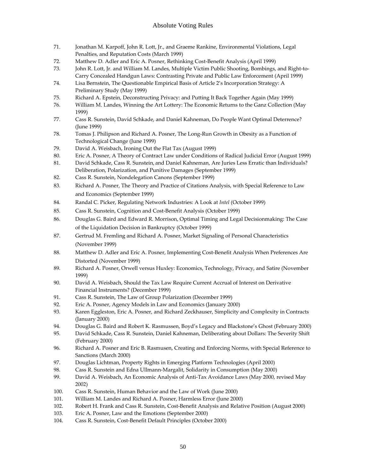- 71. Jonathan M. Karpoff, John R. Lott, Jr., and Graeme Rankine, Environmental Violations, Legal Penalties, and Reputation Costs (March 1999)
- 72. Matthew D. Adler and Eric A. Posner, Rethinking Cost‐Benefit Analysis (April 1999)
- 73. John R. Lott, Jr. and William M. Landes, Multiple Victim Public Shooting, Bombings, and Right-to-Carry Concealed Handgun Laws: Contrasting Private and Public Law Enforcement (April 1999)
- 74. Lisa Bernstein, The Questionable Empirical Basis of Article 2's Incorporation Strategy: A Preliminary Study (May 1999)
- 75. Richard A. Epstein, Deconstructing Privacy: and Putting It Back Together Again (May 1999)
- 76. William M. Landes, Winning the Art Lottery: The Economic Returns to the Ganz Collection (May 1999)
- 77. Cass R. Sunstein, David Schkade, and Daniel Kahneman, Do People Want Optimal Deterrence? (June 1999)
- 78. Tomas J. Philipson and Richard A. Posner, The Long‐Run Growth in Obesity as a Function of Technological Change (June 1999)
- 79. David A. Weisbach, Ironing Out the Flat Tax (August 1999)
- 80. Eric A. Posner, A Theory of Contract Law under Conditions of Radical Judicial Error (August 1999)
- 81. David Schkade, Cass R. Sunstein, and Daniel Kahneman, Are Juries Less Erratic than Individuals? Deliberation, Polarization, and Punitive Damages (September 1999)
- 82. Cass R. Sunstein, Nondelegation Canons (September 1999)
- 83. Richard A. Posner, The Theory and Practice of Citations Analysis, with Special Reference to Law and Economics (September 1999)
- 84. Randal C. Picker, Regulating Network Industries: A Look at *Intel* (October 1999)
- 85. Cass R. Sunstein, Cognition and Cost‐Benefit Analysis (October 1999)
- 86. Douglas G. Baird and Edward R. Morrison, Optimal Timing and Legal Decisionmaking: The Case of the Liquidation Decision in Bankruptcy (October 1999)
- 87. Gertrud M. Fremling and Richard A. Posner, Market Signaling of Personal Characteristics (November 1999)
- 88. Matthew D. Adler and Eric A. Posner, Implementing Cost-Benefit Analysis When Preferences Are Distorted (November 1999)
- 89. Richard A. Posner, Orwell versus Huxley: Economics, Technology, Privacy, and Satire (November 1999)
- 90. David A. Weisbach, Should the Tax Law Require Current Accrual of Interest on Derivative Financial Instruments? (December 1999)
- 91. Cass R. Sunstein, The Law of Group Polarization (December 1999)
- 92. Eric A. Posner, Agency Models in Law and Economics (January 2000)
- 93. Karen Eggleston, Eric A. Posner, and Richard Zeckhauser, Simplicity and Complexity in Contracts (January 2000)
- 94. Douglas G. Baird and Robert K. Rasmussen, Boyd's Legacy and Blackstone's Ghost (February 2000)
- 95. David Schkade, Cass R. Sunstein, Daniel Kahneman, Deliberating about Dollars: The Severity Shift (February 2000)
- 96. Richard A. Posner and Eric B. Rasmusen, Creating and Enforcing Norms, with Special Reference to Sanctions (March 2000)
- 97. Douglas Lichtman, Property Rights in Emerging Platform Technologies (April 2000)
- 98. Cass R. Sunstein and Edna Ullmann-Margalit, Solidarity in Consumption (May 2000)
- 99. David A. Weisbach, An Economic Analysis of Anti-Tax Avoidance Laws (May 2000, revised May 2002)
- 100. Cass R. Sunstein, Human Behavior and the Law of Work (June 2000)
- 101. William M. Landes and Richard A. Posner, Harmless Error (June 2000)
- 102. Robert H. Frank and Cass R. Sunstein, Cost-Benefit Analysis and Relative Position (August 2000)
- 103. Eric A. Posner, Law and the Emotions (September 2000)
- 104. Cass R. Sunstein, Cost‐Benefit Default Principles (October 2000)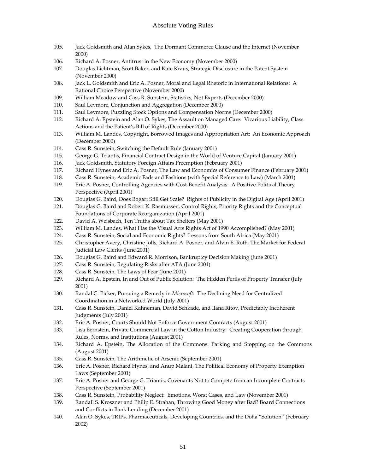- 105. Jack Goldsmith and Alan Sykes, The Dormant Commerce Clause and the Internet (November 2000)
- 106. Richard A. Posner, Antitrust in the New Economy (November 2000)
- 107. Douglas Lichtman, Scott Baker, and Kate Kraus, Strategic Disclosure in the Patent System (November 2000)
- 108. Jack L. Goldsmith and Eric A. Posner, Moral and Legal Rhetoric in International Relations: A Rational Choice Perspective (November 2000)
- 109. William Meadow and Cass R. Sunstein, Statistics, Not Experts (December 2000)
- 110. Saul Levmore, Conjunction and Aggregation (December 2000)
- 111. Saul Levmore, Puzzling Stock Options and Compensation Norms (December 2000)
- 112. Richard A. Epstein and Alan O. Sykes, The Assault on Managed Care: Vicarious Liability, Class Actions and the Patient's Bill of Rights (December 2000)
- 113. William M. Landes, Copyright, Borrowed Images and Appropriation Art: An Economic Approach (December 2000)
- 114. Cass R. Sunstein, Switching the Default Rule (January 2001)
- 115. George G. Triantis, Financial Contract Design in the World of Venture Capital (January 2001)
- 116. Jack Goldsmith, Statutory Foreign Affairs Preemption (February 2001)
- 117. Richard Hynes and Eric A. Posner, The Law and Economics of Consumer Finance (February 2001)
- 118. Cass R. Sunstein, Academic Fads and Fashions (with Special Reference to Law) (March 2001)
- 119. Eric A. Posner, Controlling Agencies with Cost-Benefit Analysis: A Positive Political Theory Perspective (April 2001)
- 120. Douglas G. Baird, Does Bogart Still Get Scale? Rights of Publicity in the Digital Age (April 2001)
- 121. Douglas G. Baird and Robert K. Rasmussen, Control Rights, Priority Rights and the Conceptual Foundations of Corporate Reorganization (April 2001)
- 122. David A. Weisbach, Ten Truths about Tax Shelters (May 2001)
- 123. William M. Landes, What Has the Visual Arts Rights Act of 1990 Accomplished? (May 2001)
- 124. Cass R. Sunstein, Social and Economic Rights? Lessons from South Africa (May 2001)
- 125. Christopher Avery, Christine Jolls, Richard A. Posner, and Alvin E. Roth, The Market for Federal Judicial Law Clerks (June 2001)
- 126. Douglas G. Baird and Edward R. Morrison, Bankruptcy Decision Making (June 2001)
- 127. Cass R. Sunstein, Regulating Risks after ATA (June 2001)
- 128. Cass R. Sunstein, The Laws of Fear (June 2001)
- 129. Richard A. Epstein, In and Out of Public Solution: The Hidden Perils of Property Transfer (July 2001)
- 130. Randal C. Picker, Pursuing a Remedy in *Microsoft*: The Declining Need for Centralized Coordination in a Networked World (July 2001)
- 131. Cass R. Sunstein, Daniel Kahneman, David Schkade, and Ilana Ritov, Predictably Incoherent Judgments (July 2001)
- 132. Eric A. Posner, Courts Should Not Enforce Government Contracts (August 2001)
- 133. Lisa Bernstein, Private Commercial Law in the Cotton Industry: Creating Cooperation through Rules, Norms, and Institutions (August 2001)
- 134. Richard A. Epstein, The Allocation of the Commons: Parking and Stopping on the Commons (August 2001)
- 135. Cass R. Sunstein, The Arithmetic of Arsenic (September 2001)
- 136. Eric A. Posner, Richard Hynes, and Anup Malani, The Political Economy of Property Exemption Laws (September 2001)
- 137. Eric A. Posner and George G. Triantis, Covenants Not to Compete from an Incomplete Contracts Perspective (September 2001)
- 138. Cass R. Sunstein, Probability Neglect: Emotions, Worst Cases, and Law (November 2001)
- 139. Randall S. Kroszner and Philip E. Strahan, Throwing Good Money after Bad? Board Connections and Conflicts in Bank Lending (December 2001)
- 140. Alan O. Sykes, TRIPs, Pharmaceuticals, Developing Countries, and the Doha "Solution" (February 2002)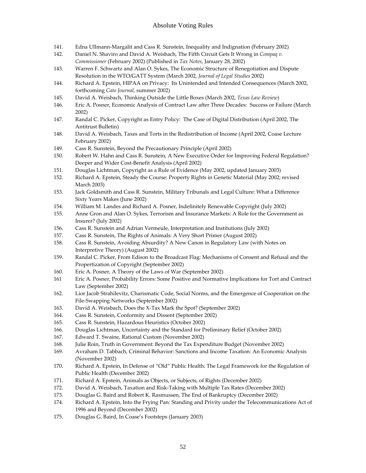- 141. Edna Ullmann‐Margalit and Cass R. Sunstein, Inequality and Indignation (February 2002)
- 142. Daniel N. Shaviro and David A. Weisbach, The Fifth Circuit Gets It Wrong in *Compaq v. Commissioner* (February 2002) (Published in *Tax Notes*, January 28, 2002)
- 143. Warren F. Schwartz and Alan O. Sykes, The Economic Structure of Renegotiation and Dispute Resolution in the WTO/GATT System (March 2002, *Journal of Legal Studies* 2002)
- 144. Richard A. Epstein, HIPAA on Privacy: Its Unintended and Intended Consequences (March 2002, forthcoming *Cato Journal*, summer 2002)
- 145. David A. Weisbach, Thinking Outside the Little Boxes (March 2002, *Texas Law Review*)
- 146. Eric A. Posner, Economic Analysis of Contract Law after Three Decades: Success or Failure (March 2002)
- 147. Randal C. Picker, Copyright as Entry Policy: The Case of Digital Distribution (April 2002, The Antitrust Bulletin)
- 148. David A. Weisbach, Taxes and Torts in the Redistribution of Income (April 2002, Coase Lecture February 2002)
- 149. Cass R. Sunstein, Beyond the Precautionary Principle (April 2002)
- 150. Robert W. Hahn and Cass R. Sunstein, A New Executive Order for Improving Federal Regulation? Deeper and Wider Cost‐Benefit Analysis (April 2002)
- 151. Douglas Lichtman, Copyright as a Rule of Evidence (May 2002, updated January 2003)
- 152. Richard A. Epstein, Steady the Course: Property Rights in Genetic Material (May 2002; revised March 2003)
- 153. Jack Goldsmith and Cass R. Sunstein, Military Tribunals and Legal Culture: What a Difference Sixty Years Makes (June 2002)
- 154. William M. Landes and Richard A. Posner, Indefinitely Renewable Copyright (July 2002)
- 155. Anne Gron and Alan O. Sykes, Terrorism and Insurance Markets: A Role for the Government as Insurer? (July 2002)
- 156. Cass R. Sunstein and Adrian Vermeule, Interpretation and Institutions (July 2002)
- 157. Cass R. Sunstein, The Rights of Animals: A Very Short Primer (August 2002)
- 158. Cass R. Sunstein, Avoiding Absurdity? A New Canon in Regulatory Law (with Notes on Interpretive Theory) (August 2002)
- 159. Randal C. Picker, From Edison to the Broadcast Flag: Mechanisms of Consent and Refusal and the Propertization of Copyright (September 2002)
- 160. Eric A. Posner, A Theory of the Laws of War (September 2002)
- 161 Eric A. Posner, Probability Errors: Some Positive and Normative Implications for Tort and Contract Law (September 2002)
- 162. Lior Jacob Strahilevitz, Charismatic Code, Social Norms, and the Emergence of Cooperation on the File‐Swapping Networks (September 2002)
- 163. David A. Weisbach, Does the X‐Tax Mark the Spot? (September 2002)
- 164. Cass R. Sunstein, Conformity and Dissent (September 2002)
- 165. Cass R. Sunstein, Hazardous Heuristics (October 2002)
- 166. Douglas Lichtman, Uncertainty and the Standard for Preliminary Relief (October 2002)
- 167. Edward T. Swaine, Rational Custom (November 2002)
- 168. Julie Roin, Truth in Government: Beyond the Tax Expenditure Budget (November 2002)
- 169. Avraham D. Tabbach, Criminal Behavior: Sanctions and Income Taxation: An Economic Analysis (November 2002)
- 170. Richard A. Epstein, In Defense of "Old" Public Health: The Legal Framework for the Regulation of Public Health (December 2002)
- 171. Richard A. Epstein, Animals as Objects, or Subjects, of Rights (December 2002)
- 172. David A. Weisbach, Taxation and Risk‐Taking with Multiple Tax Rates (December 2002)
- 173. Douglas G. Baird and Robert K. Rasmussen, The End of Bankruptcy (December 2002)
- 174. Richard A. Epstein, Into the Frying Pan: Standing and Privity under the Telecommunications Act of 1996 and Beyond (December 2002)
- 175. Douglas G. Baird, In Coase's Footsteps (January 2003)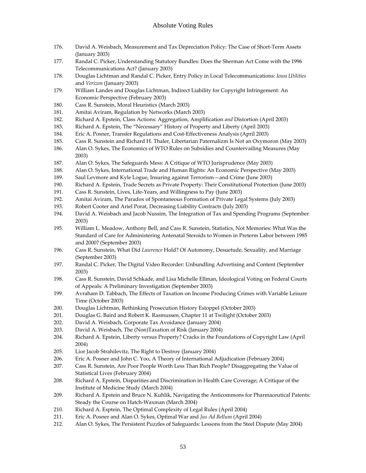- 176. David A. Weisbach, Measurement and Tax Depreciation Policy: The Case of Short‐Term Assets (January 2003)
- 177. Randal C. Picker, Understanding Statutory Bundles: Does the Sherman Act Come with the 1996 Telecommunications Act? (January 2003)
- 178. Douglas Lichtman and Randal C. Picker, Entry Policy in Local Telecommunications: *Iowa Utilities* and *Verizon* (January 2003)
- 179. William Landes and Douglas Lichtman, Indirect Liability for Copyright Infringement: An Economic Perspective (February 2003)
- 180. Cass R. Sunstein, Moral Heuristics (March 2003)
- 181. Amitai Aviram, Regulation by Networks (March 2003)
- 182. Richard A. Epstein, Class Actions: Aggregation, Amplification *and* Distortion (April 2003)
- 183. Richard A. Epstein, The "Necessary" History of Property and Liberty (April 2003)
- 184. Eric A. Posner, Transfer Regulations and Cost‐Effectiveness Analysis (April 2003)
- 185. Cass R. Sunstein and Richard H. Thaler, Libertarian Paternalizm Is Not an Oxymoron (May 2003)
- 186. Alan O. Sykes, The Economics of WTO Rules on Subsidies and Countervailing Measures (May 2003)
- 187. Alan O. Sykes, The Safeguards Mess: A Critique of WTO Jurisprudence (May 2003)
- 188. Alan O. Sykes, International Trade and Human Rights: An Economic Perspective (May 2003)
- 189. Saul Levmore and Kyle Logue, Insuring against Terrorism—and Crime (June 2003)
- 190. Richard A. Epstein, Trade Secrets as Private Property: Their Constitutional Protection (June 2003)
- 191. Cass R. Sunstein, Lives, Life-Years, and Willingness to Pay (June 2003)
- 192. Amitai Aviram, The Paradox of Spontaneous Formation of Private Legal Systems (July 2003)
- 193. Robert Cooter and Ariel Porat, Decreasing Liability Contracts (July 2003)
- 194. David A. Weisbach and Jacob Nussim, The Integration of Tax and Spending Programs (September 2003)
- 195. William L. Meadow, Anthony Bell, and Cass R. Sunstein, Statistics, Not Memories: What Was the Standard of Care for Administering Antenatal Steroids to Women in Preterm Labor between 1985 and 2000? (September 2003)
- 196. Cass R. Sunstein, What Did *Lawrence* Hold? Of Autonomy, Desuetude, Sexuality, and Marriage (September 2003)
- 197. Randal C. Picker, The Digital Video Recorder: Unbundling Advertising and Content (September 2003)
- 198. Cass R. Sunstein, David Schkade, and Lisa Michelle Ellman, Ideological Voting on Federal Courts of Appeals: A Preliminary Investigation (September 2003)
- 199. Avraham D. Tabbach, The Effects of Taxation on Income Producing Crimes with Variable Leisure Time (October 2003)
- 200. Douglas Lichtman, Rethinking Prosecution History Estoppel (October 2003)
- 201. Douglas G. Baird and Robert K. Rasmussen, Chapter 11 at Twilight (October 2003)
- 202. David A. Weisbach, Corporate Tax Avoidance (January 2004)
- 203. David A. Weisbach, The (Non)Taxation of Risk (January 2004)
- 204. Richard A. Epstein, Liberty versus Property? Cracks in the Foundations of Copyright Law (April 2004)
- 205. Lior Jacob Strahilevitz, The Right to Destroy (January 2004)
- 206. Eric A. Posner and John C. Yoo, A Theory of International Adjudication (February 2004)
- 207. Cass R. Sunstein, Are Poor People Worth Less Than Rich People? Disaggregating the Value of Statistical Lives (February 2004)
- 208. Richard A. Epstein, Disparities and Discrimination in Health Care Coverage; A Critique of the Institute of Medicine Study (March 2004)
- 209. Richard A. Epstein and Bruce N. Kuhlik, Navigating the Anticommons for Pharmaceutical Patents: Steady the Course on Hatch‐Waxman (March 2004)
- 210. Richard A. Esptein, The Optimal Complexity of Legal Rules (April 2004)
- 211. Eric A. Posner and Alan O. Sykes, Optimal War and *Jus Ad Bellum* (April 2004)
- 212. Alan O. Sykes, The Persistent Puzzles of Safeguards: Lessons from the Steel Dispute (May 2004)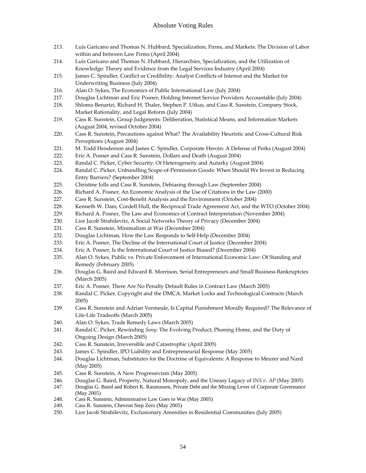- 213. Luis Garicano and Thomas N. Hubbard, Specialization, Firms, and Markets: The Division of Labor within and between Law Firms (April 2004)
- 214. Luis Garicano and Thomas N. Hubbard, Hierarchies, Specialization, and the Utilization of Knowledge: Theory and Evidence from the Legal Services Industry (April 2004)
- 215. James C. Spindler, Conflict or Credibility: Analyst Conflicts of Interest and the Market for Underwriting Business (July 2004)
- 216. Alan O. Sykes, The Economics of Public International Law (July 2004)
- 217. Douglas Lichtman and Eric Posner, Holding Internet Service Providers Accountable (July 2004)
- 218. Shlomo Benartzi, Richard H. Thaler, Stephen P. Utkus, and Cass R. Sunstein, Company Stock, Market Rationality, and Legal Reform (July 2004)
- 219. Cass R. Sunstein, Group Judgments: Deliberation, Statistical Means, and Information Markets (August 2004, revised October 2004)
- 220. Cass R. Sunstein, Precautions against What? The Availability Heuristic and Cross-Cultural Risk Perceptions (August 2004)
- 221. M. Todd Henderson and James C. Spindler, Corporate Heroin: A Defense of Perks (August 2004)
- 222. Eric A. Posner and Cass R. Sunstein, Dollars and Death (August 2004)
- 223. Randal C. Picker, Cyber Security: Of Heterogeneity and Autarky (August 2004)
- 224. Randal C. Picker, Unbundling Scope-of-Permission Goods: When Should We Invest in Reducing Entry Barriers? (September 2004)
- 225. Christine Jolls and Cass R. Sunstein, Debiasing through Law (September 2004)
- 226. Richard A. Posner, An Economic Analysis of the Use of Citations in the Law (2000)
- 227. Cass R. Sunstein, Cost-Benefit Analysis and the Environment (October 2004)
- 228. Kenneth W. Dam, Cordell Hull, the Reciprocal Trade Agreement Act, and the WTO (October 2004)
- 229. Richard A. Posner, The Law and Economics of Contract Interpretation (November 2004)
- 230. Lior Jacob Strahilevitz, A Social Networks Theory of Privacy (December 2004)
- 231. Cass R. Sunstein, Minimalism at War (December 2004)
- 232. Douglas Lichtman, How the Law Responds to Self-Help (December 2004)
- 233. Eric A. Posner, The Decline of the International Court of Justice (December 2004)
- 234. Eric A. Posner, Is the International Court of Justice Biased? (December 2004)
- 235. Alan O. Sykes, Public vs. Private Enforcement of International Economic Law: Of Standing and Remedy (February 2005)
- 236. Douglas G. Baird and Edward R. Morrison, Serial Entrepreneurs and Small Business Bankruptcies (March 2005)
- 237. Eric A. Posner, There Are No Penalty Default Rules in Contract Law (March 2005)
- 238. Randal C. Picker, Copyright and the DMCA: Market Locks and Technological Contracts (March 2005)
- 239. Cass R. Sunstein and Adrian Vermeule, Is Capital Punishment Morally Required? The Relevance of Life‐Life Tradeoffs (March 2005)
- 240. Alan O. Sykes, Trade Remedy Laws (March 2005)
- 241. Randal C. Picker, Rewinding *Sony*: The Evolving Product, Phoning Home, and the Duty of Ongoing Design (March 2005)
- 242. Cass R. Sunstein, Irreversible and Catastrophic (April 2005)
- 243. James C. Spindler, IPO Liability and Entrepreneurial Response (May 2005)
- 244. Douglas Lichtman, Substitutes for the Doctrine of Equivalents: A Response to Meurer and Nard (May 2005)
- 245. Cass R. Sunstein, A New Progressivism (May 2005)
- 246. Douglas G. Baird, Property, Natural Monopoly, and the Uneasy Legacy of *INS v. AP* (May 2005)
- 247. Douglas G. Baird and Robert K. Rasmussen, Private Debt and the Missing Lever of Corporate Governance (May 2005)
- 248. Cass R. Sunstein, Administrative Law Goes to War (May 2005)
- 249. Cass R. Sunstein, Chevron Step Zero (May 2005)
- 250. Lior Jacob Strahilevitz, Exclusionary Amenities in Residential Communities (July 2005)